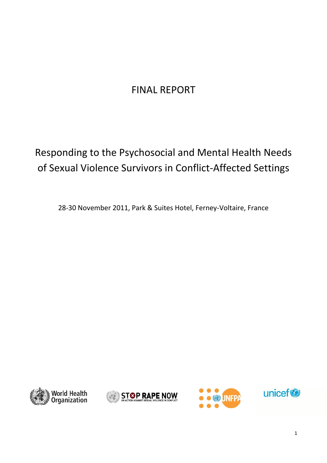# FINAL REPORT

# Responding to the Psychosocial and Mental Health Needs of Sexual Violence Survivors in Conflict-Affected Settings

28-30 November 2011, Park & Suites Hotel, Ferney-Voltaire, France







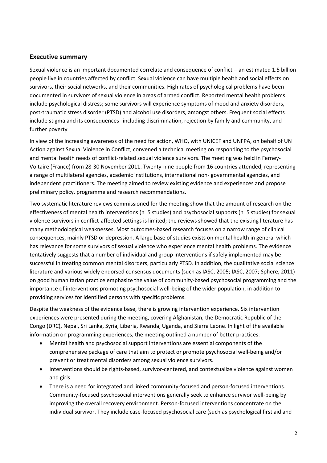# <span id="page-1-0"></span>**Executive summary**

Sexual violence is an important documented correlate and consequence of conflict - an estimated 1.5 billion people live in countries affected by conflict. Sexual violence can have multiple health and social effects on survivors, their social networks, and their communities. High rates of psychological problems have been documented in survivors of sexual violence in areas of armed conflict. Reported mental health problems include psychological distress; some survivors will experience symptoms of mood and anxiety disorders, post-traumatic stress disorder (PTSD) and alcohol use disorders, amongst others. Frequent social effects include stigma and its consequences--including discrimination, rejection by family and community, and further poverty

In view of the increasing awareness of the need for action, WHO, with UNICEF and UNFPA, on behalf of UN Action against Sexual Violence in Conflict, convened a technical meeting on responding to the psychosocial and mental health needs of conflict-related sexual violence survivors. The meeting was held in Ferney-Voltaire (France) from 28-30 November 2011. Twenty-nine people from 16 countries attended, representing a range of multilateral agencies, academic institutions, international non- governmental agencies, and independent practitioners. The meeting aimed to review existing evidence and experiences and propose preliminary policy, programme and research recommendations.

Two systematic literature reviews commissioned for the meeting show that the amount of research on the effectiveness of mental health interventions (n=5 studies) and psychosocial supports (n=5 studies) for sexual violence survivors in conflict-affected settings is limited; the reviews showed that the existing literature has many methodological weaknesses. Most outcomes-based research focuses on a narrow range of clinical consequences, mainly PTSD or depression. A large base of studies exists on mental health in general which has relevance for some survivors of sexual violence who experience mental health problems. The evidence tentatively suggests that a number of individual and group interventions if safely implemented may be successful in treating common mental disorders, particularly PTSD. In addition, the qualitative social science literature and various widely endorsed consensus documents (such as IASC, 2005; IASC, 2007; Sphere, 2011) on good humanitarian practice emphasize the value of community-based psychosocial programming and the importance of interventions promoting psychosocial well-being of the wider population, in addition to providing services for identified persons with specific problems.

Despite the weakness of the evidence base, there is growing intervention experience. Six intervention experiences were presented during the meeting, covering Afghanistan, the Democratic Republic of the Congo (DRC), Nepal, Sri Lanka, Syria, Liberia, Rwanda, Uganda, and Sierra Leone. In light of the available information on programming experiences, the meeting outlined a number of better practices:

- Mental health and psychosocial support interventions are essential components of the comprehensive package of care that aim to protect or promote psychosocial well-being and/or prevent or treat mental disorders among sexual violence survivors.
- Interventions should be rights-based, survivor-centered, and contextualize violence against women and girls.
- There is a need for integrated and linked community-focused and person-focused interventions. Community-focused psychosocial interventions generally seek to enhance survivor well-being by improving the overall recovery environment. Person-focused interventions concentrate on the individual survivor. They include case-focused psychosocial care (such as psychological first aid and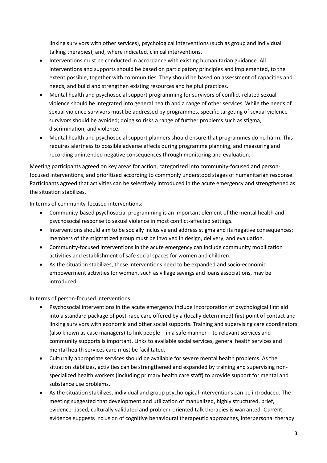linking survivors with other services), psychological interventions (such as group and individual talking therapies), and, where indicated, clinical interventions.

- Interventions must be conducted in accordance with existing humanitarian guidance. All interventions and supports should be based on participatory principles and implemented, to the extent possible, together with communities. They should be based on assessment of capacities and needs, and build and strengthen existing resources and helpful practices.
- Mental health and psychosocial support programming for survivors of conflict-related sexual violence should be integrated into general health and a range of other services. While the needs of sexual violence survivors must be addressed by programmes, specific targeting of sexual violence survivors should be avoided; doing so risks a range of further problems such as stigma, discrimination, and violence.
- Mental health and psychosocial support planners should ensure that programmes do no harm. This requires alertness to possible adverse effects during programme planning, and measuring and recording unintended negative consequences through monitoring and evaluation.

Meeting participants agreed on key areas for action, categorized into community-focused and personfocused interventions, and prioritized according to commonly understood stages of humanitarian response. Participants agreed that activities can be selectively introduced in the acute emergency and strengthened as the situation stabilizes.

In terms of community-focused interventions:

- Community-based psychosocial programming is an important element of the mental health and psychosocial response to sexual violence in most conflict-affected settings.
- Interventions should aim to be socially inclusive and address stigma and its negative consequences; members of the stigmatized group must be involved in design, delivery, and evaluation.
- Community-focused interventions in the acute emergency can include community mobilization activities and establishment of safe social spaces for women and children.
- As the situation stabilizes, these interventions need to be expanded and socio-economic empowerment activities for women, such as village savings and loans associations, may be introduced.

In terms of person-focused interventions:

- Psychosocial interventions in the acute emergency include incorporation of psychological first aid into a standard package of post-rape care offered by a (locally determined) first point of contact and linking survivors with economic and other social supports. Training and supervising care coordinators (also known as case managers) to link people – in a safe manner – to relevant services and community supports is important. Links to available social services, general health services and mental health services care must be facilitated.
- Culturally appropriate services should be available for severe mental health problems. As the situation stabilizes, activities can be strengthened and expanded by training and supervising nonspecialized health workers (including primary health care staff) to provide support for mental and substance use problems.
- As the situation stabilizes, individual and group psychological interventions can be introduced. The meeting suggested that development and utilization of manualized, highly structured, brief, evidence-based, culturally validated and problem-oriented talk therapies is warranted. Current evidence suggests inclusion of cognitive behavioural therapeutic approaches, interpersonal therapy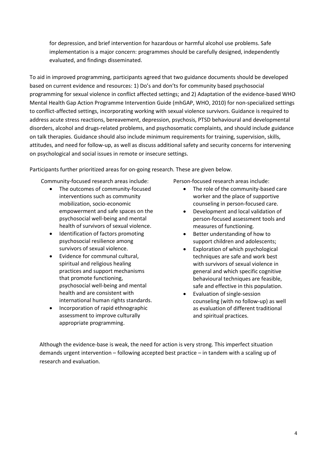for depression, and brief intervention for hazardous or harmful alcohol use problems. Safe implementation is a major concern: programmes should be carefully designed, independently evaluated, and findings disseminated.

To aid in improved programming, participants agreed that two guidance documents should be developed based on current evidence and resources: 1) Do's and don'ts for community based psychosocial programming for sexual violence in conflict affected settings; and 2) Adaptation of the evidence-based WHO Mental Health Gap Action Programme Intervention Guide (mhGAP, WHO, 2010) for non-specialized settings to conflict-affected settings, incorporating working with sexual violence survivors. Guidance is required to address acute stress reactions, bereavement, depression, psychosis, PTSD behavioural and developmental disorders, alcohol and drugs-related problems, and psychosomatic complaints, and should include guidance on talk therapies. Guidance should also include minimum requirements for training, supervision, skills, attitudes, and need for follow-up, as well as discuss additional safety and security concerns for intervening on psychological and social issues in remote or insecure settings.

Participants further prioritized areas for on-going research. These are given below.

Community-focused research areas include:

- The outcomes of community-focused interventions such as community mobilization, socio-economic empowerment and safe spaces on the psychosocial well-being and mental health of survivors of sexual violence.
- Identification of factors promoting psychosocial resilience among survivors of sexual violence.
- Evidence for communal cultural, spiritual and religious healing practices and support mechanisms that promote functioning, psychosocial well-being and mental health and are consistent with international human rights standards.
- Incorporation of rapid ethnographic assessment to improve culturally appropriate programming.

Person-focused research areas include:

- The role of the community-based care worker and the place of supportive counseling in person-focused care.
- Development and local validation of person-focused assessment tools and measures of functioning.
- Better understanding of how to support children and adolescents;
- Exploration of which psychological techniques are safe and work best with survivors of sexual violence in general and which specific cognitive behavioural techniques are feasible, safe and effective in this population.
- Evaluation of single-session counseling (with no follow-up) as well as evaluation of different traditional and spiritual practices.

Although the evidence-base is weak, the need for action is very strong. This imperfect situation demands urgent intervention – following accepted best practice – in tandem with a scaling up of research and evaluation.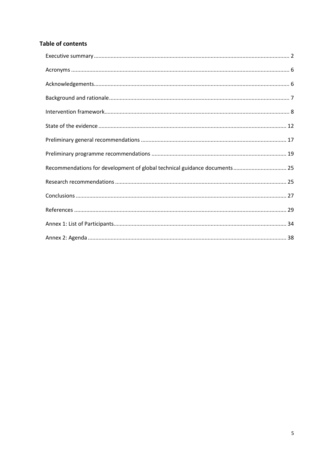# **Table of contents**

| Recommendations for development of global technical guidance documents 25 |  |
|---------------------------------------------------------------------------|--|
|                                                                           |  |
|                                                                           |  |
|                                                                           |  |
|                                                                           |  |
|                                                                           |  |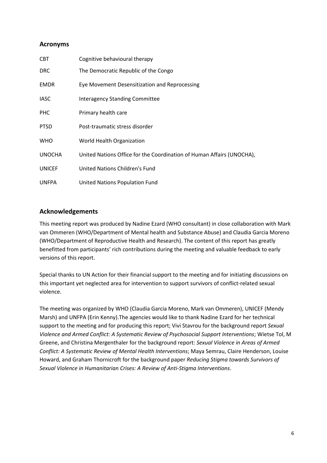# <span id="page-5-0"></span>**Acronyms**

| <b>CBT</b>    | Cognitive behavioural therapy                                         |
|---------------|-----------------------------------------------------------------------|
| <b>DRC</b>    | The Democratic Republic of the Congo                                  |
| <b>EMDR</b>   | Eye Movement Desensitization and Reprocessing                         |
| <b>IASC</b>   | <b>Interagency Standing Committee</b>                                 |
| <b>PHC</b>    | Primary health care                                                   |
| <b>PTSD</b>   | Post-traumatic stress disorder                                        |
| <b>WHO</b>    | World Health Organization                                             |
| <b>UNOCHA</b> | United Nations Office for the Coordination of Human Affairs (UNOCHA), |
| <b>UNICEF</b> | United Nations Children's Fund                                        |
| <b>UNFPA</b>  | United Nations Population Fund                                        |

# <span id="page-5-1"></span>**Acknowledgements**

This meeting report was produced by Nadine Ezard (WHO consultant) in close collaboration with Mark van Ommeren (WHO/Department of Mental health and Substance Abuse) and Claudia Garcia Moreno (WHO/Department of Reproductive Health and Research). The content of this report has greatly benefitted from participants' rich contributions during the meeting and valuable feedback to early versions of this report.

Special thanks to UN Action for their financial support to the meeting and for initiating discussions on this important yet neglected area for intervention to support survivors of conflict-related sexual violence.

The meeting was organized by WHO (Claudia Garcia Moreno, Mark van Ommeren), UNICEF (Mendy Marsh) and UNFPA (Erin Kenny).The agencies would like to thank Nadine Ezard for her technical support to the meeting and for producing this report; Vivi Stavrou for the background report *Sexual Violence and Armed Conflict: A Systematic Review of Psychosocial Support Interventions*; Wietse Tol, M Greene, and Christina Mergenthaler for the background report: *Sexual Violence in Areas of Armed Conflict: A Systematic Review of Mental Health Interventions*; Maya Semrau, Claire Henderson, Louise Howard, and Graham Thornicroft for the background paper *Reducing Stigma towards Survivors of Sexual Violence in Humanitarian Crises: A Review of Anti-Stigma Interventions*.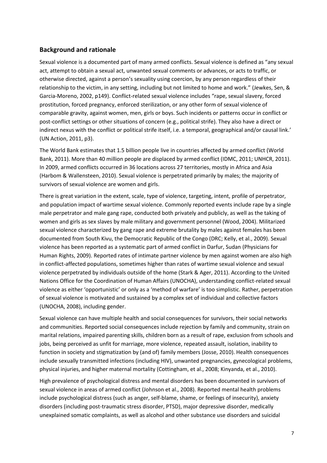# <span id="page-6-0"></span>**Background and rationale**

Sexual violence is a documented part of many armed conflicts. Sexual violence is defined as "any sexual act, attempt to obtain a sexual act, unwanted sexual comments or advances, or acts to traffic, or otherwise directed, against a person's sexuality using coercion, by any person regardless of their relationship to the victim, in any setting, including but not limited to home and work." [\(Jewkes, Sen, &](#page-28-1)  [Garcia-Moreno, 2002, p149\)](#page-28-1). Conflict-related sexual violence includes "rape, sexual slavery, forced prostitution, forced pregnancy, enforced sterilization, or any other form of sexual violence of comparable gravity, against women, men, girls or boys. Such incidents or patterns occur in conflict or post-conflict settings or other situations of concern (e.g., political strife). They also have a direct or indirect nexus with the conflict or political strife itself, i.e. a temporal, geographical and/or causal link.' (UN Action, 2011, p3).

The World Bank estimates that 1.5 billion people live in countries affected by armed conflict (World Bank, 2011). More than 40 million people are displaced by armed conflict (IDMC, 2011; UNHCR, 2011). In 2009, armed conflicts occurred in 36 locations across 27 territories, mostly in Africa and Asia [\(Harbom & Wallensteen, 2010\)](#page-28-1). Sexual violence is perpetrated primarily by males; the majority of survivors of sexual violence are women and girls.

There is great variation in the extent, scale, type of violence, targeting, intent, profile of perpetrator, and population impact of wartime sexual violence. Commonly reported events include rape by a single male perpetrator and male gang rape, conducted both privately and publicly, as well as the taking of women and girls as sex slaves by male military and government personnel [\(Wood, 2004\)](#page-31-0). Militarized sexual violence characterized by gang rape and extreme brutality by males against females has been documented from South Kivu, the Democratic Republic of the Congo (DRC; Kelly, et al., 2009). Sexual violence has been reported as a systematic part of armed conflict in Darfur, Sudan [\(Physicians for](#page-29-0)  [Human Rights, 2009\)](#page-29-0). Reported rates of intimate partner violence by men against women are also high in conflict-affected populations, sometimes higher than rates of wartime sexual violence and sexual violence perpetrated by individuals outside of the home [\(Stark & Ager, 2011\)](#page-31-1). According to the United Nations Office for the Coordination of Human Affairs (UNOCHA), understanding conflict-related sexual violence as either 'opportunistic' or only as a 'method of warfare' is too simplistic. Rather, perpetration of sexual violence is motivated and sustained by a complex set of individual and collective factors [\(UNOCHA, 2008\)](#page-31-2), including gender.

Sexual violence can have multiple health and social consequences for survivors, their social networks and communities. Reported social consequences include rejection by family and community, strain on marital relations, impaired parenting skills, children born as a result of rape, exclusion from schools and jobs, being perceived as unfit for marriage, more violence, repeated assault, isolation, inability to function in society and stigmatization by (and of) family members [\(Josse, 2010\)](#page-29-0). Health consequences include sexually transmitted infections (including HIV), unwanted pregnancies, gynecological problems, physical injuries, and higher maternal mortality [\(Cottingham, et al., 2008;](#page-28-1) [Kinyanda, et al., 2010\)](#page-29-1).

High prevalence of psychological distress and mental disorders has been documented in survivors of sexual violence in areas of armed conflict [\(Johnson et al., 2008\)](#page-29-0). Reported mental health problems include psychological distress (such as anger, self-blame, shame, or feelings of insecurity), anxiety disorders (including post-traumatic stress disorder, PTSD), major depressive disorder, medically unexplained somatic complaints, as well as alcohol and other substance use disorders and suicidal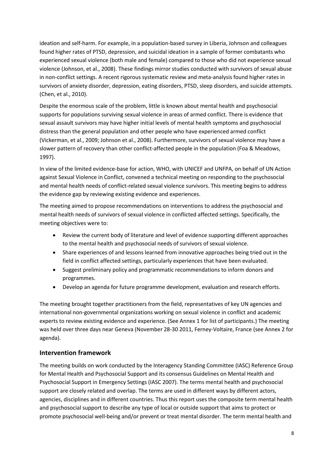ideation and self-harm. For example, in a population-based survey in Liberia, Johnson and colleagues found higher rates of PTSD, depression, and suicidal ideation in a sample of former combatants who experienced sexual violence (both male and female) compared to those who did not experience sexual violence [\(Johnson, et al., 2008\)](#page-29-0). These findings mirror studies conducted with survivors of sexual abuse in non-conflict settings. A recent rigorous systematic review and meta-analysis found higher rates in survivors of anxiety disorder, depression, eating disorders, PTSD, sleep disorders, and suicide attempts. [\(Chen, et al., 2010\)](#page-28-1).

Despite the enormous scale of the problem, little is known about mental health and psychosocial supports for populations surviving sexual violence in areas of armed conflict. There is evidence that sexual assault survivors may have higher initial levels of mental health symptoms and psychosocial distress than the general population and other people who have experienced armed conflict (Vickerman, et al., 2009; Johnson et al., 2008). Furthermore, survivors of sexual violence may have a slower pattern of recovery than other conflict-affected people in the population (Foa & Meadows, 1997).

In view of the limited evidence-base for action, WHO, with UNICEF and UNFPA, on behalf of UN Action against Sexual Violence in Conflict, convened a technical meeting on responding to the psychosocial and mental health needs of conflict-related sexual violence survivors. This meeting begins to address the evidence gap by reviewing existing evidence and experiences.

The meeting aimed to propose recommendations on interventions to address the psychosocial and mental health needs of survivors of sexual violence in conflicted affected settings. Specifically, the meeting objectives were to:

- Review the current body of literature and level of evidence supporting different approaches to the mental health and psychosocial needs of survivors of sexual violence.
- Share experiences of and lessons learned from innovative approaches being tried out in the field in conflict affected settings, particularly experiences that have been evaluated.
- Suggest preliminary policy and programmatic recommendations to inform donors and programmes.
- Develop an agenda for future programme development, evaluation and research efforts.

The meeting brought together practitioners from the field, representatives of key UN agencies and international non-governmental organizations working on sexual violence in conflict and academic experts to review existing evidence and experience. (See Annex 1 for list of participants.) The meeting was held over three days near Geneva (November 28-30 2011, Ferney-Voltaire, France (see Annex 2 for agenda).

# <span id="page-7-0"></span>**Intervention framework**

The meeting builds on work conducted by the Interagency Standing Committee (IASC) Reference Group for Mental Health and Psychosocial Support and its consensus Guidelines on Mental Health and Psychosocial Support in Emergency Settings (IASC 2007). The terms mental health and psychosocial support are closely related and overlap. The terms are used in different ways by different actors, agencies, disciplines and in different countries. Thus this report uses the composite term mental health and psychosocial support to describe any type of local or outside support that aims to protect or promote psychosocial well-being and/or prevent or treat mental disorder. The term mental health and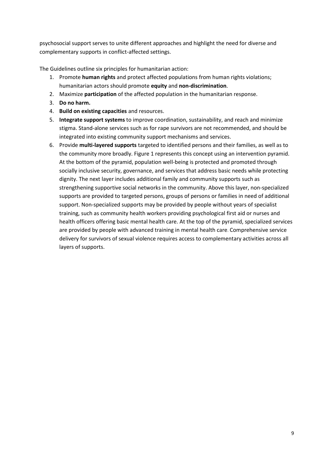psychosocial support serves to unite different approaches and highlight the need for diverse and complementary supports in conflict-affected settings.

The Guidelines outline six principles for humanitarian action:

- 1. Promote **human rights** and protect affected populations from human rights violations; humanitarian actors should promote **equity** and **non-discrimination**.
- 2. Maximize **participation** of the affected population in the humanitarian response.
- 3. **Do no harm.**
- 4. **Build on existing capacities** and resources.
- 5. **Integrate support systems** to improve coordination, sustainability, and reach and minimize stigma. Stand-alone services such as for rape survivors are not recommended, and should be integrated into existing community support mechanisms and services.
- 6. Provide **multi-layered supports** targeted to identified persons and their families, as well as to the community more broadly. Figure 1 represents this concept using an intervention pyramid. At the bottom of the pyramid, population well-being is protected and promoted through socially inclusive security, governance, and services that address basic needs while protecting dignity. The next layer includes additional family and community supports such as strengthening supportive social networks in the community. Above this layer, non-specialized supports are provided to targeted persons, groups of persons or families in need of additional support. Non-specialized supports may be provided by people without years of specialist training, such as community health workers providing psychological first aid or nurses and health officers offering basic mental health care. At the top of the pyramid, specialized services are provided by people with advanced training in mental health care. Comprehensive service delivery for survivors of sexual violence requires access to complementary activities across all layers of supports.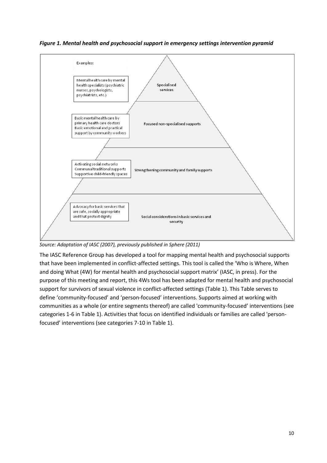



*Source: Adaptation of IASC (2007), previously published in Sphere (2011)*

The IASC Reference Group has developed a tool for mapping mental health and psychosocial supports that have been implemented in conflict-affected settings. This tool is called the 'Who is Where, When and doing What (4W) for mental health and psychosocial support matrix' (IASC, in press). For the purpose of this meeting and report, this 4Ws tool has been adapted for mental health and psychosocial support for survivors of sexual violence in conflict-affected settings (Table 1). This Table serves to define 'community-focused' and 'person-focused' interventions. Supports aimed at working with communities as a whole (or entire segments thereof) are called 'community-focused' interventions (see categories 1-6 in Table 1). Activities that focus on identified individuals or families are called 'personfocused' interventions (see categories 7-10 in Table 1).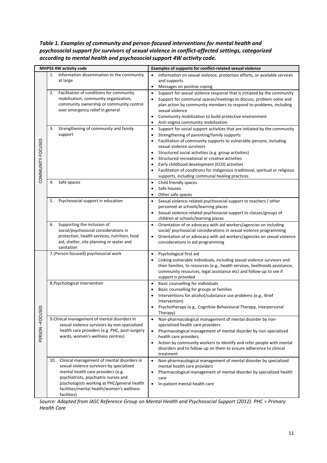*Table 1. Examples of community and person-focused interventions for mental health and psychosocial support for survivors of sexual violence in conflict-affected settings, categorized according to mental health and psychosocial support 4W activity code.* 

| <b>MHPSS 4W activity code</b> |                                                                                                                                                                                                                                                                                         | Examples of supports for conflict-related sexual violence                                                                                                                                                                                                                                                                                                                                                                                                                                                                                                       |  |  |
|-------------------------------|-----------------------------------------------------------------------------------------------------------------------------------------------------------------------------------------------------------------------------------------------------------------------------------------|-----------------------------------------------------------------------------------------------------------------------------------------------------------------------------------------------------------------------------------------------------------------------------------------------------------------------------------------------------------------------------------------------------------------------------------------------------------------------------------------------------------------------------------------------------------------|--|--|
|                               | Information dissemination to the community<br>1.<br>at large                                                                                                                                                                                                                            | Information on sexual violence, protection efforts, or available services<br>$\bullet$<br>and supports<br>Messages on positive coping<br>٠                                                                                                                                                                                                                                                                                                                                                                                                                      |  |  |
|                               | Facilitation of conditions for community<br>2.<br>mobilization, community organization,<br>community ownership or community control<br>over emergency relief in general                                                                                                                 | Support for sexual violence response that is initiated by the community<br>$\bullet$<br>Support for communal spaces/meetings to discuss, problem-solve and<br>plan action by community members to respond to problems, including<br>sexual violence<br>Community mobilization to build protective environment<br>$\bullet$<br>Anti-stigma community mobilization                                                                                                                                                                                                |  |  |
| COMMUNITY-FOCUSED             | Strengthening of community and family<br>3.<br>support                                                                                                                                                                                                                                  | Support for social support activities that are initiated by the community<br>$\bullet$<br>Strengthening of parenting/family supports<br>$\bullet$<br>Facilitation of community supports to vulnerable persons, including<br>$\bullet$<br>sexual violence survivors<br>Structured social activities (e.g. group activities)<br>Structured recreational or creative activities<br>Early childhood development (ECD) activities<br>Facilitation of conditions for indigenous traditional, spiritual or religious<br>supports, including communal healing practices |  |  |
|                               | Safe spaces<br>4.                                                                                                                                                                                                                                                                       | Child friendly spaces<br>$\bullet$<br>Safe houses<br>Other safe spaces<br>$\bullet$                                                                                                                                                                                                                                                                                                                                                                                                                                                                             |  |  |
|                               | Psychosocial support in education<br>5.                                                                                                                                                                                                                                                 | Sexual violence-related psychosocial support to teachers / other<br>$\bullet$<br>personnel at schools/learning places<br>Sexual violence-related psychosocial support to classes/groups of<br>children at schools/learning places                                                                                                                                                                                                                                                                                                                               |  |  |
|                               | Supporting the inclusion of<br>6.<br>social/psychosocial considerations in<br>protection, health services, nutrition, food<br>aid, shelter, site planning or water and<br>sanitation                                                                                                    | Orientation of or advocacy with aid workers/agencies on including<br>$\bullet$<br>social/ psychosocial considerations in sexual violence programming<br>Orientation of or advocacy with aid workers/agencies on sexual violence<br>$\bullet$<br>considerations in aid programming                                                                                                                                                                                                                                                                               |  |  |
|                               | 7. (Person-focused) psychosocial work                                                                                                                                                                                                                                                   | Psychological first aid<br>$\bullet$<br>Linking vulnerable individuals, including sexual violence survivors and<br>their families, to resources (e.g., health services, livelihoods assistance,<br>community resources, legal assistance etc) and follow-up to see if<br>support is provided                                                                                                                                                                                                                                                                    |  |  |
| ≏                             | 8. Psychological intervention                                                                                                                                                                                                                                                           | Basic counselling for individuals<br>$\bullet$<br>Basic counselling for groups or families<br>Interventions for alcohol/substance use problems (e.g., Brief<br>Intervention)<br>Psychotherapy (e.g., Cognitive Behavioural Therapy, Interpersonal<br>Therapy)                                                                                                                                                                                                                                                                                                   |  |  |
| PERSON-FOCUSI                 | 9. Clinical management of mental disorders in<br>sexual violence survivors by non-specialized<br>health care providers (e.g. PHC, post-surgery<br>wards, women's wellness centres)                                                                                                      | Non-pharmacological management of mental disorder by non-<br>$\bullet$<br>specialized health care providers<br>Pharmacological management of mental disorder by non-specialized<br>health care providers<br>Action by community workers to identify and refer people with mental<br>$\bullet$<br>disorders and to follow-up on them to ensure adherence to clinical<br>treatment                                                                                                                                                                                |  |  |
|                               | Clinical management of mental disorders in<br>10.<br>sexual violence survivors by specialized<br>mental health care providers (e.g.<br>psychiatrists, psychiatric nurses and<br>psychologists working at PHC/general health<br>facilities/mental health/women's wellness<br>facilities) | Non-pharmacological management of mental disorder by specialized<br>$\bullet$<br>mental health care providers<br>Pharmacological management of mental disorder by specialized health<br>care<br>In-patient mental health care<br>$\bullet$                                                                                                                                                                                                                                                                                                                      |  |  |

*Source: Adapted from IASC Reference Group on Mental Health and Psychosocial Support (2012). PHC = Primary Health Care*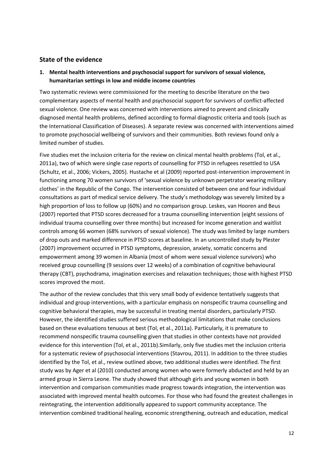# <span id="page-11-0"></span>**State of the evidence**

# **1. Mental health interventions and psychosocial support for survivors of sexual violence, humanitarian settings in low and middle income countries**

Two systematic reviews were commissioned for the meeting to describe literature on the two complementary aspects of mental health and psychosocial support for survivors of conflict-affected sexual violence. One review was concerned with interventions aimed to prevent and clinically diagnosed mental health problems, defined according to formal diagnostic criteria and tools (such as the International Classification of Diseases). A separate review was concerned with interventions aimed to promote psychosocial wellbeing of survivors and their communities. Both reviews found only a limited number of studies.

Five studies met the inclusion criteria for the review on clinical mental health problems (Tol, et al., 2011a), two of which were single case reports of counselling for PTSD in refugees resettled to USA (Schultz, et al., 2006; Vickers, 2005). Hustache et al (2009) reported post-intervention improvement in functioning among 70 women survivors of 'sexual violence by unknown perpetrator wearing military clothes' in the Republic of the Congo. The intervention consisted of between one and four individual consultations as part of medical service delivery. The study's methodology was severely limited by a high proportion of loss to follow up (60%) and no comparison group. Leskes, van Hooren and Beus (2007) reported that PTSD scores decreased for a trauma counselling intervention (eight sessions of individual trauma counselling over three months) but increased for income generation and waitlist controls among 66 women (68% survivors of sexual violence). The study was limited by large numbers of drop outs and marked difference in PTSD scores at baseline. In an uncontrolled study by Plester (2007) improvement occurred in PTSD symptoms, depression, anxiety, somatic concerns and empowerment among 39 women in Albania (most of whom were sexual violence survivors) who received group counselling (9 sessions over 12 weeks) of a combination of cognitive behavioural therapy (CBT), psychodrama, imagination exercises and relaxation techniques; those with highest PTSD scores improved the most.

The author of the review concludes that this very small body of evidence tentatively suggests that individual and group interventions, with a particular emphasis on nonspecific trauma counselling and cognitive behavioral therapies, may be successful in treating mental disorders, particularly PTSD. However, the identified studies suffered serious methodological limitations that make conclusions based on these evaluations tenuous at best (Tol, et al., 2011a). Particularly, it is premature to recommend nonspecific trauma counselling given that studies in other contexts have not provided evidence for this intervention (Tol, et al., 2011b).Similarly, only five studies met the inclusion criteria for a systematic review of psychosocial interventions (Stavrou, 2011). In addition to the three studies identified by the Tol, et al., review outlined above, two additional studies were identified. The first study was by Ager et al (2010) conducted among women who were formerly abducted and held by an armed group in Sierra Leone. The study showed that although girls and young women in both intervention and comparison communities made progress towards integration, the intervention was associated with improved mental health outcomes. For those who had found the greatest challenges in reintegrating, the intervention additionally appeared to support community acceptance. The intervention combined traditional healing, economic strengthening, outreach and education, medical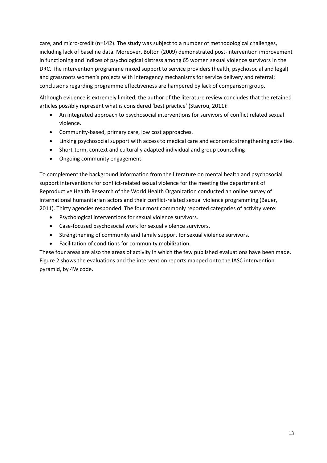care, and micro-credit (n=142). The study was subject to a number of methodological challenges, including lack of baseline data. Moreover, Bolton (2009) demonstrated post-intervention improvement in functioning and indices of psychological distress among 65 women sexual violence survivors in the DRC. The intervention programme mixed support to service providers (health, psychosocial and legal) and grassroots women's projects with interagency mechanisms for service delivery and referral; conclusions regarding programme effectiveness are hampered by lack of comparison group.

Although evidence is extremely limited, the author of the literature review concludes that the retained articles possibly represent what is considered 'best practice' (Stavrou, 2011):

- An integrated approach to psychosocial interventions for survivors of conflict related sexual violence.
- Community-based, primary care, low cost approaches.
- Linking psychosocial support with access to medical care and economic strengthening activities.
- Short-term, context and culturally adapted individual and group counselling
- Ongoing community engagement.

To complement the background information from the literature on mental health and psychosocial support interventions for conflict-related sexual violence for the meeting the department of Reproductive Health Research of the World Health Organization conducted an online survey of international humanitarian actors and their conflict-related sexual violence programming (Bauer, 2011). Thirty agencies responded. The four most commonly reported categories of activity were:

- Psychological interventions for sexual violence survivors.
- Case-focused psychosocial work for sexual violence survivors.
- Strengthening of community and family support for sexual violence survivors.
- Facilitation of conditions for community mobilization.

These four areas are also the areas of activity in which the few published evaluations have been made. Figure 2 shows the evaluations and the intervention reports mapped onto the IASC intervention pyramid, by 4W code.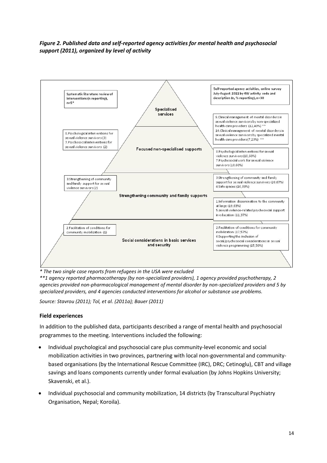# *Figure 2. Published data and self-reported agency activities for mental health and psychosocial support (2011), organized by level of activity*



*\* The two single case reports from refugees in the USA were excluded*

*\*\*1 agency reported pharmacotherapy (by non-specialized providers), 1 agency provided psychotherapy, 2 agencies provided non-pharmacological management of mental disorder by non-specialized providers and 5 by specialized providers, and 4 agencies conducted interventions for alcohol or substance use problems.* 

*Source: Stavrou (2011); Tol, et al. (2011a); Bauer (2011)*

#### **Field experiences**

In addition to the published data, participants described a range of mental health and psychosocial programmes to the meeting. Interventions included the following:

- Individual psychological and psychosocial care plus community-level economic and social mobilization activities in two provinces, partnering with local non-governmental and communitybased organisations (by the International Rescue Committee (IRC), DRC; Cetinoglu), CBT and village savings and loans components currently under formal evaluation (by Johns Hopkins University; Skavenski, et al.).
- Individual psychosocial and community mobilization, 14 districts (by Transcultural Psychiatry Organisation, Nepal; Koroila).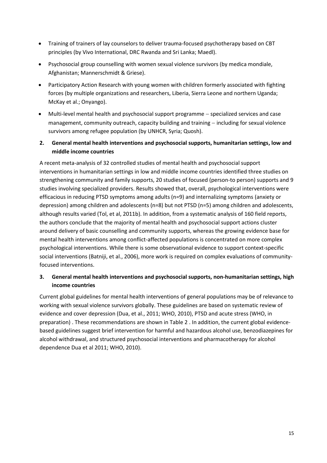- Training of trainers of lay counselors to deliver trauma-focused psychotherapy based on CBT principles (by Vivo International, DRC Rwanda and Sri Lanka; Maedl).
- Psychosocial group counselling with women sexual violence survivors (by medica mondiale, Afghanistan; Mannerschmidt & Griese).
- Participatory Action Research with young women with children formerly associated with fighting forces (by multiple organizations and researchers, Liberia, Sierra Leone and northern Uganda; McKay et al.; Onyango).
- Multi-level mental health and psychosocial support programme specialized services and case management, community outreach, capacity building and training - including for sexual violence survivors among refugee population (by UNHCR, Syria; Quosh).
- **2. General mental health interventions and psychosocial supports, humanitarian settings, low and middle income countries**

A recent meta-analysis of 32 controlled studies of mental health and psychosocial support interventions in humanitarian settings in low and middle income countries identified three studies on strengthening community and family supports, 20 studies of focused (person-to person) supports and 9 studies involving specialized providers. Results showed that, overall, psychological interventions were efficacious in reducing PTSD symptoms among adults (n=9) and internalizing symptoms (anxiety or depression) among children and adolescents (n=8) but not PTSD (n=5) among children and adolescents, although results varied (Tol, et al, 2011b). In addition, from a systematic analysis of 160 field reports, the authors conclude that the majority of mental health and psychosocial support actions cluster around delivery of basic counselling and community supports, whereas the growing evidence base for mental health interventions among conflict-affected populations is concentrated on more complex psychological interventions. While there is some observational evidence to support context-specific social interventions (Batniji, et al., 2006), more work is required on complex evaluations of communityfocused interventions.

# **3. General mental health interventions and psychosocial supports, non-humanitarian settings, high income countries**

Current global guidelines for mental health interventions of general populations may be of relevance to working with sexual violence survivors globally. These guidelines are based on systematic review of evidence and cover depression (Dua, et al., 2011; WHO, 2010), PTSD and acute stress (WHO, in preparation) . These recommendations are shown in Table 2 . In addition, the current global evidencebased guidelines suggest brief intervention for harmful and hazardous alcohol use, benzodiazepines for alcohol withdrawal, and structured psychosocial interventions and pharmacotherapy for alcohol dependence Dua et al 2011; WHO, 2010).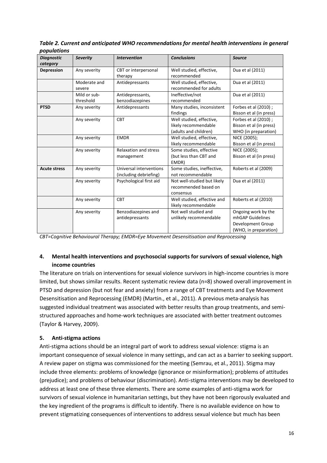| Table 2. Current and anticipated WHO recommendations for mental health interventions in general |  |
|-------------------------------------------------------------------------------------------------|--|
| populations                                                                                     |  |

| <b>Diagnostic</b>   | <b>Severity</b>           | <b>Intervention</b>                               | <b>Conclusions</b>                                                        | <b>Source</b>                                                                         |
|---------------------|---------------------------|---------------------------------------------------|---------------------------------------------------------------------------|---------------------------------------------------------------------------------------|
| category            |                           |                                                   |                                                                           |                                                                                       |
| Depression          | Any severity              | CBT or interpersonal<br>therapy                   | Well studied, effective,<br>recommended                                   | Dua et al (2011)                                                                      |
|                     | Moderate and<br>severe    | Antidepressants                                   | Well studied, effective,<br>recommended for adults                        | Dua et al (2011)                                                                      |
|                     | Mild or sub-<br>threshold | Antidepressants,<br>benzodiazepines               | Ineffective/not<br>recommended                                            | Dua et al (2011)                                                                      |
| <b>PTSD</b>         | Any severity              | Antidepressants                                   | Many studies, inconsistent<br>findings                                    | Forbes et al (2010) ;<br>Bisson et al (in press)                                      |
|                     | Any severity              | <b>CBT</b>                                        | Well studied, effective,<br>likely recommendable<br>(adults and children) | Forbes et al (2010) ;<br>Bisson et al (in press)<br>WHO (in preparation)              |
|                     | Any severity              | <b>EMDR</b>                                       | Well studied, effective,<br>likely recommendable                          | NICE (2005);<br>Bisson et al (in press)                                               |
|                     | Any severity              | <b>Relaxation and stress</b><br>management        | Some studies, effective<br>(but less than CBT and<br>EMDR)                | NICE (2005);<br>Bisson et al (in press)                                               |
| <b>Acute stress</b> | Any severity              | Universal interventions<br>(including debriefing) | Some studies, ineffective,<br>not recommendable                           | Roberts et al (2009)                                                                  |
|                     | Any severity              | Psychological first aid                           | Not well-studied but likely<br>recommended based on<br>consensus          | Dua et al (2011)                                                                      |
|                     | Any severity              | <b>CBT</b>                                        | Well studied, effective and<br>likely recommendable                       | Roberts et al (2010)                                                                  |
|                     | Any severity              | Benzodiazepines and<br>antidepressants            | Not well studied and<br>unlikely recommendable                            | Ongoing work by the<br>mhGAP Guidelines<br>Development Group<br>(WHO, in preparation) |

*CBT=Cognitive Behavioural Therapy; EMDR=Eye Movement Desensitisation and Reprocessing*

# **4. Mental health interventions and psychosocial supports for survivors of sexual violence, high income countries**

The literature on trials on interventions for sexual violence survivors in high-income countries is more limited, but shows similar results. Recent systematic review data (n=8) showed overall improvement in PTSD and depression (but not fear and anxiety) from a range of CBT treatments and Eye Movement Desensitisation and Reprocessing (EMDR) (Martin., et al., 2011). A previous meta-analysis has suggested individual treatment was associated with better results than group treatments, and semistructured approaches and home-work techniques are associated with better treatment outcomes [\(Taylor & Harvey, 2009\)](#page-31-2).

# **5. Anti-stigma actions**

Anti-stigma actions should be an integral part of work to address sexual violence: stigma is an important consequence of sexual violence in many settings, and can act as a barrier to seeking support. A review paper on stigma was commissioned for the meeting (Semrau, et al., 2011). Stigma may include three elements: problems of knowledge (ignorance or misinformation); problems of attitudes (prejudice); and problems of behaviour (discrimination). Anti-stigma interventions may be developed to address at least one of these three elements. There are some examples of anti-stigma work for survivors of sexual violence in humanitarian settings, but they have not been rigorously evaluated and the key ingredient of the programs is difficult to identify. There is no available evidence on how to prevent stigmatizing consequences of interventions to address sexual violence but much has been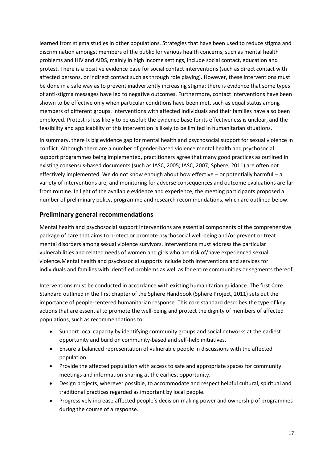learned from stigma studies in other populations. Strategies that have been used to reduce stigma and discrimination amongst members of the public for various health concerns, such as mental health problems and HIV and AIDS, mainly in high income settings, include social contact, education and protest. There is a positive evidence base for social contact interventions (such as direct contact with affected persons, or indirect contact such as through role playing). However, these interventions must be done in a safe way as to prevent inadvertently increasing stigma: there is evidence that some types of anti-stigma messages have led to negative outcomes. Furthermore, contact interventions have been shown to be effective only when particular conditions have been met, such as equal status among members of different groups. Interventions with affected individuals and their families have also been employed. Protest is less likely to be useful; the evidence base for its effectiveness is unclear, and the feasibility and applicability of this intervention is likely to be limited in humanitarian situations.

In summary, there is big evidence gap for mental health and psychosocial support for sexual violence in conflict. Although there are a number of gender-based violence mental health and psychosocial support programmes being implemented, practitioners agree that many good practices as outlined in existing consensus-based documents (such as IASC, 2005; IASC, 2007; Sphere, 2011) are often not effectively implemented. We do not know enough about how effective  $-$  or potentially harmful  $-$  a variety of interventions are, and monitoring for adverse consequences and outcome evaluations are far from routine. In light of the available evidence and experience, the meeting participants proposed a number of preliminary policy, programme and research recommendations, which are outlined below.

# <span id="page-16-0"></span>**Preliminary general recommendations**

Mental health and psychosocial support interventions are essential components of the comprehensive package of care that aims to protect or promote psychosocial well-being and/or prevent or treat mental disorders among sexual violence survivors. Interventions must address the particular vulnerabilities and related needs of women and girls who are risk of/have experienced sexual violence.Mental health and psychosocial supports include both interventions and services for individuals and families with identified problems as well as for entire communities or segments thereof.

Interventions must be conducted in accordance with existing humanitarian guidance. The first Core Standard outlined in the first chapter of the Sphere Handbook (Sphere Project, 2011) sets out the importance of people-centered humanitarian response. This core standard describes the type of key actions that are essential to promote the well-being and protect the dignity of members of affected populations, such as recommendations to:

- Support local capacity by identifying community groups and social networks at the earliest opportunity and build on community-based and self-help initiatives.
- Ensure a balanced representation of vulnerable people in discussions with the affected population.
- Provide the affected population with access to safe and appropriate spaces for community meetings and information-sharing at the earliest opportunity.
- Design projects, wherever possible, to accommodate and respect helpful cultural, spiritual and traditional practices regarded as important by local people.
- Progressively increase affected people's decision-making power and ownership of programmes during the course of a response.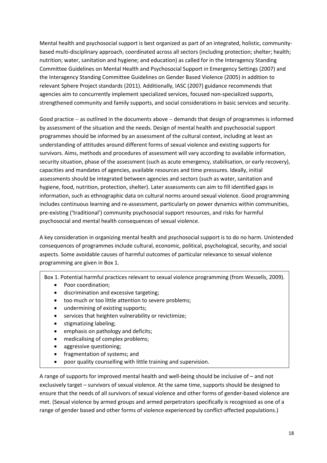Mental health and psychosocial support is best organized as part of an integrated, holistic, communitybased multi-disciplinary approach, coordinated across all sectors (including protection; shelter; health; nutrition; water, sanitation and hygiene; and education) as called for in the Interagency Standing Committee Guidelines on Mental Health and Psychosocial Support in Emergency Settings (2007) and the Interagency Standing Committee Guidelines on Gender Based Violence (2005) in addition to relevant Sphere Project standards (2011). Additionally, IASC (2007) guidance recommends that agencies aim to concurrently implement specialized services, focused non-specialized supports, strengthened community and family supports, and social considerations in basic services and security.

Good practice  $-$  as outlined in the documents above  $-$  demands that design of programmes is informed by assessment of the situation and the needs. Design of mental health and psychosocial support programmes should be informed by an assessment of the cultural context, including at least an understanding of attitudes around different forms of sexual violence and existing supports for survivors. Aims, methods and procedures of assessment will vary according to available information, security situation, phase of the assessment (such as acute emergency, stabilisation, or early recovery), capacities and mandates of agencies, available resources and time pressures. Ideally, initial assessments should be integrated between agencies and sectors (such as water, sanitation and hygiene, food, nutrition, protection, shelter). Later assessments can aim to fill identified gaps in information, such as ethnographic data on cultural norms around sexual violence. Good programming includes continuous learning and re-assessment, particularly on power dynamics within communities, pre-existing ('traditional') community psychosocial support resources, and risks for harmful psychosocial and mental health consequences of sexual violence.

A key consideration in organizing mental health and psychosocial support is to do no harm. Unintended consequences of programmes include cultural, economic, political, psychological, security, and social aspects. Some avoidable causes of harmful outcomes of particular relevance to sexual violence programming are given in Box 1.

Box 1. Potential harmful practices relevant to sexual violence programming (from Wessells, 2009).

- Poor coordination;
- discrimination and excessive targeting;
- too much or too little attention to severe problems;
- undermining of existing supports;
- services that heighten vulnerability or revictimize;
- stigmatizing labeling;
- emphasis on pathology and deficits;
- medicalising of complex problems;
- aggressive questioning;
- fragmentation of systems; and
- poor quality counselling with little training and supervision.

A range of supports for improved mental health and well-being should be inclusive of – and not exclusively target – survivors of sexual violence. At the same time, supports should be designed to ensure that the needs of all survivors of sexual violence and other forms of gender-based violence are met. (Sexual violence by armed groups and armed perpetrators specifically is recognised as one of a range of gender based and other forms of violence experienced by conflict-affected populations.)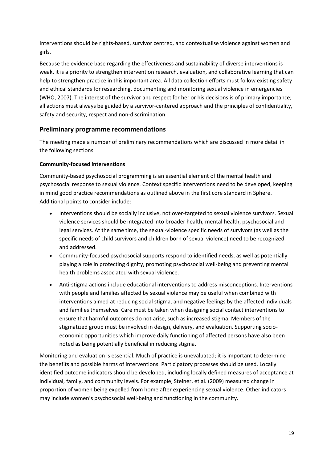Interventions should be rights-based, survivor centred, and contextualise violence against women and girls.

Because the evidence base regarding the effectiveness and sustainability of diverse interventions is weak, it is a priority to strengthen intervention research, evaluation, and collaborative learning that can help to strengthen practice in this important area. All data collection efforts must follow existing safety and ethical standards for researching, documenting and monitoring sexual violence in emergencies (WHO, 2007). The interest of the survivor and respect for her or his decisions is of primary importance; all actions must always be guided by a survivor-centered approach and the principles of confidentiality, safety and security, respect and non-discrimination.

# <span id="page-18-0"></span>**Preliminary programme recommendations**

The meeting made a number of preliminary recommendations which are discussed in more detail in the following sections.

# **Community-focused interventions**

Community-based psychosocial programming is an essential element of the mental health and psychosocial response to sexual violence. Context specific interventions need to be developed, keeping in mind good practice recommendations as outlined above in the first core standard in Sphere. Additional points to consider include:

- Interventions should be socially inclusive, not over-targeted to sexual violence survivors. Sexual violence services should be integrated into broader health, mental health, psychosocial and legal services. At the same time, the sexual-violence specific needs of survivors (as well as the specific needs of child survivors and children born of sexual violence) need to be recognized and addressed.
- Community-focused psychosocial supports respond to identified needs, as well as potentially playing a role in protecting dignity, promoting psychosocial well-being and preventing mental health problems associated with sexual violence.
- Anti-stigma actions include educational interventions to address misconceptions. Interventions with people and families affected by sexual violence may be useful when combined with interventions aimed at reducing social stigma, and negative feelings by the affected individuals and families themselves. Care must be taken when designing social contact interventions to ensure that harmful outcomes do not arise, such as increased stigma. Members of the stigmatized group must be involved in design, delivery, and evaluation. Supporting socioeconomic opportunities which improve daily functioning of affected persons have also been noted as being potentially beneficial in reducing stigma.

Monitoring and evaluation is essential. Much of practice is unevaluated; it is important to determine the benefits and possible harms of interventions. Participatory processes should be used. Locally identified outcome indicators should be developed, including locally defined measures of acceptance at individual, family, and community levels. For example, Steiner, et al. (2009) measured change in proportion of women being expelled from home after experiencing sexual violence. Other indicators may include women's psychosocial well-being and functioning in the community.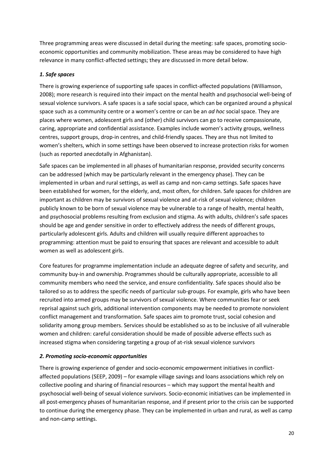Three programming areas were discussed in detail during the meeting: safe spaces, promoting socioeconomic opportunities and community mobilization. These areas may be considered to have high relevance in many conflict-affected settings; they are discussed in more detail below.

## *1. Safe spaces*

There is growing experience of supporting safe spaces in conflict-affected populations (Williamson, 2008); more research is required into their impact on the mental health and psychosocial well-being of sexual violence survivors. A safe spaces is a safe social space, which can be organized around a physical space such as a community centre or a women's centre or can be an *ad hoc* social space. They are places where women, adolescent girls and (other) child survivors can go to receive compassionate, caring, appropriate and confidential assistance. Examples include women's activity groups, wellness centres, support groups, drop-in centres, and child-friendly spaces. They are thus not limited to women's shelters, which in some settings have been observed to increase protection risks for women (such as reported anecdotally in Afghanistan).

Safe spaces can be implemented in all phases of humanitarian response, provided security concerns can be addressed (which may be particularly relevant in the emergency phase). They can be implemented in urban and rural settings, as well as camp and non-camp settings. Safe spaces have been established for women, for the elderly, and, most often, for children. Safe spaces for children are important as children may be survivors of sexual violence and at-risk of sexual violence; children publicly known to be born of sexual violence may be vulnerable to a range of health, mental health, and psychosocial problems resulting from exclusion and stigma. As with adults, children's safe spaces should be age and gender sensitive in order to effectively address the needs of different groups, particularly adolescent girls. Adults and children will usually require different approaches to programming: attention must be paid to ensuring that spaces are relevant and accessible to adult women as well as adolescent girls.

Core features for programme implementation include an adequate degree of safety and security, and community buy-in and ownership. Programmes should be culturally appropriate, accessible to all community members who need the service, and ensure confidentiality. Safe spaces should also be tailored so as to address the specific needs of particular sub-groups. For example, girls who have been recruited into armed groups may be survivors of sexual violence. Where communities fear or seek reprisal against such girls, additional intervention components may be needed to promote nonviolent conflict management and transformation. Safe spaces aim to promote trust, social cohesion and solidarity among group members. Services should be established so as to be inclusive of all vulnerable women and children: careful consideration should be made of possible adverse effects such as increased stigma when considering targeting a group of at-risk sexual violence survivors

# *2. Promoting socio-economic opportunities*

There is growing experience of gender and socio-economic empowerment initiatives in conflictaffected populations (SEEP, 2009) – for example village savings and loans associations which rely on collective pooling and sharing of financial resources – which may support the mental health and psychosocial well-being of sexual violence survivors. Socio-economic initiatives can be implemented in all post-emergency phases of humanitarian response, and if present prior to the crisis can be supported to continue during the emergency phase. They can be implemented in urban and rural, as well as camp and non-camp settings.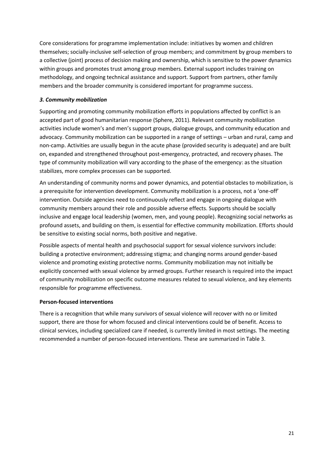Core considerations for programme implementation include: initiatives by women and children themselves; socially-inclusive self-selection of group members; and commitment by group members to a collective (joint) process of decision making and ownership, which is sensitive to the power dynamics within groups and promotes trust among group members. External support includes training on methodology, and ongoing technical assistance and support. Support from partners, other family members and the broader community is considered important for programme success.

# *3. Community mobilization*

Supporting and promoting community mobilization efforts in populations affected by conflict is an accepted part of good humanitarian response (Sphere, 2011). Relevant community mobilization activities include women's and men's support groups, dialogue groups, and community education and advocacy. Community mobilization can be supported in a range of settings – urban and rural, camp and non-camp. Activities are usually begun in the acute phase (provided security is adequate) and are built on, expanded and strengthened throughout post-emergency, protracted, and recovery phases. The type of community mobilization will vary according to the phase of the emergency: as the situation stabilizes, more complex processes can be supported.

An understanding of community norms and power dynamics, and potential obstacles to mobilization, is a prerequisite for intervention development. Community mobilization is a process, not a 'one-off' intervention. Outside agencies need to continuously reflect and engage in ongoing dialogue with community members around their role and possible adverse effects. Supports should be socially inclusive and engage local leadership (women, men, and young people). Recognizing social networks as profound assets, and building on them, is essential for effective community mobilization. Efforts should be sensitive to existing social norms, both positive and negative.

Possible aspects of mental health and psychosocial support for sexual violence survivors include: building a protective environment; addressing stigma; and changing norms around gender-based violence and promoting existing protective norms. Community mobilization may not initially be explicitly concerned with sexual violence by armed groups. Further research is required into the impact of community mobilization on specific outcome measures related to sexual violence, and key elements responsible for programme effectiveness.

## **Person-focused interventions**

There is a recognition that while many survivors of sexual violence will recover with no or limited support, there are those for whom focused and clinical interventions could be of benefit. Access to clinical services, including specialized care if needed, is currently limited in most settings. The meeting recommended a number of person-focused interventions. These are summarized in Table 3.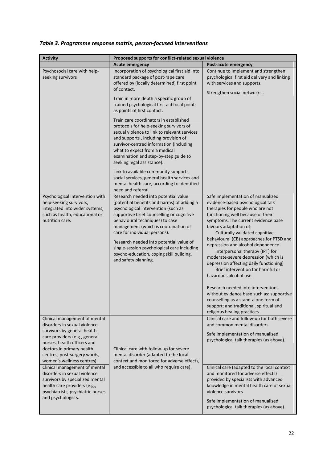| <b>Activity</b>                                                                                                                                                                                                           | Proposed supports for conflict-related sexual violence                                                                                                                                                                                                                                                                                                                                                                                           |                                                                                                                                                                                                                                                                                                                                                                                                                                                                                                                                                                                                                                                      |  |
|---------------------------------------------------------------------------------------------------------------------------------------------------------------------------------------------------------------------------|--------------------------------------------------------------------------------------------------------------------------------------------------------------------------------------------------------------------------------------------------------------------------------------------------------------------------------------------------------------------------------------------------------------------------------------------------|------------------------------------------------------------------------------------------------------------------------------------------------------------------------------------------------------------------------------------------------------------------------------------------------------------------------------------------------------------------------------------------------------------------------------------------------------------------------------------------------------------------------------------------------------------------------------------------------------------------------------------------------------|--|
|                                                                                                                                                                                                                           | <b>Acute emergency</b>                                                                                                                                                                                                                                                                                                                                                                                                                           | <b>Post-acute emergency</b>                                                                                                                                                                                                                                                                                                                                                                                                                                                                                                                                                                                                                          |  |
| Psychosocial care with help-<br>seeking survivors                                                                                                                                                                         | Incorporation of psychological first aid into<br>standard package of post-rape care<br>offered by (locally determined) first point<br>of contact.<br>Train in more depth a specific group of                                                                                                                                                                                                                                                     | Continue to implement and strengthen<br>psychological first aid delivery and linking<br>with services and supports.<br>Strengthen social networks.                                                                                                                                                                                                                                                                                                                                                                                                                                                                                                   |  |
|                                                                                                                                                                                                                           | trained psychological first aid focal points<br>as points of first contact.<br>Train care coordinators in established                                                                                                                                                                                                                                                                                                                            |                                                                                                                                                                                                                                                                                                                                                                                                                                                                                                                                                                                                                                                      |  |
|                                                                                                                                                                                                                           | protocols for help-seeking survivors of<br>sexual violence to link to relevant services<br>and supports, including provision of<br>survivor-centred information (including<br>what to expect from a medical<br>examination and step-by-step guide to<br>seeking legal assistance).                                                                                                                                                               |                                                                                                                                                                                                                                                                                                                                                                                                                                                                                                                                                                                                                                                      |  |
|                                                                                                                                                                                                                           | Link to available community supports,<br>social services, general health services and<br>mental health care, according to identified<br>need and referral.                                                                                                                                                                                                                                                                                       |                                                                                                                                                                                                                                                                                                                                                                                                                                                                                                                                                                                                                                                      |  |
| Psychological intervention with<br>help-seeking survivors,<br>integrated into wider systems,<br>such as health, educational or<br>nutrition care.                                                                         | Research needed into potential value<br>(potential benefits and harms) of adding a<br>psychological intervention (such as<br>supportive brief counselling or cognitive<br>behavioural techniques) to case<br>management (which is coordination of<br>care for individual persons).<br>Research needed into potential value of<br>single-session psychological care including<br>psycho-education, coping skill building,<br>and safety planning. | Safe implementation of manualized<br>evidence-based psychological talk<br>therapies for people who are not<br>functioning well because of their<br>symptoms. The current evidence base<br>favours adaptation of:<br>Culturally validated cognitive-<br>behavioural (CB) approaches for PTSD and<br>depression and alcohol dependence<br>Interpersonal therapy (IPT) for<br>moderate-severe depression (which is<br>depression affecting daily functioning)<br>Brief intervention for harmful or<br>hazardous alcohol use.<br>Research needed into interventions<br>without evidence base such as: supportive<br>counselling as a stand-alone form of |  |
| Clinical management of mental                                                                                                                                                                                             |                                                                                                                                                                                                                                                                                                                                                                                                                                                  | support; and traditional, spiritual and<br>religious healing practices.<br>Clinical care and follow-up for both severe                                                                                                                                                                                                                                                                                                                                                                                                                                                                                                                               |  |
| disorders in sexual violence<br>survivors by general health<br>care providers (e.g., general<br>nurses, health officers and<br>doctors in primary health<br>centres, post-surgery wards,                                  | Clinical care with follow-up for severe<br>mental disorder (adapted to the local                                                                                                                                                                                                                                                                                                                                                                 | and common mental disorders<br>Safe implementation of manualised<br>psychological talk therapies (as above).                                                                                                                                                                                                                                                                                                                                                                                                                                                                                                                                         |  |
| women's wellness centres).<br>Clinical management of mental<br>disorders in sexual violence<br>survivors by specialized mental<br>health care providers (e.g.,<br>psychiatrists, psychiatric nurses<br>and psychologists. | context and monitored for adverse effects,<br>and accessible to all who require care).                                                                                                                                                                                                                                                                                                                                                           | Clinical care (adapted to the local context<br>and monitored for adverse effects)<br>provided by specialists with advanced<br>knowledge in mental health care of sexual<br>violence survivors.<br>Safe implementation of manualised<br>psychological talk therapies (as above).                                                                                                                                                                                                                                                                                                                                                                      |  |

# *Table 3. Programme response matrix, person-focused interventions*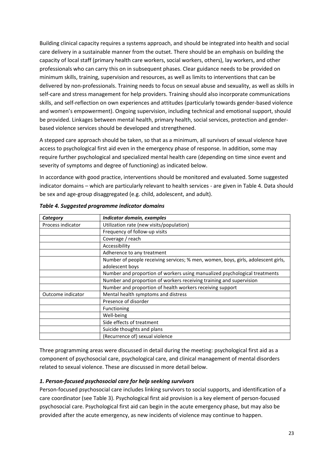Building clinical capacity requires a systems approach, and should be integrated into health and social care delivery in a sustainable manner from the outset. There should be an emphasis on building the capacity of local staff (primary health care workers, social workers, others), lay workers, and other professionals who can carry this on in subsequent phases. Clear guidance needs to be provided on minimum skills, training, supervision and resources, as well as limits to interventions that can be delivered by non-professionals. Training needs to focus on sexual abuse and sexuality, as well as skills in self-care and stress management for help providers. Training should also incorporate communications skills, and self-reflection on own experiences and attitudes (particularly towards gender-based violence and women's empowerment). Ongoing supervision, including technical and emotional support, should be provided. Linkages between mental health, primary health, social services, protection and genderbased violence services should be developed and strengthened.

A stepped care approach should be taken, so that as a minimum, all survivors of sexual violence have access to psychological first aid even in the emergency phase of response. In addition, some may require further psychological and specialized mental health care (depending on time since event and severity of symptoms and degree of functioning) as indicated below.

In accordance with good practice, interventions should be monitored and evaluated. Some suggested indicator domains – which are particularly relevant to health services - are given in Table 4. Data should be sex and age-group disaggregated (e.g. child, adolescent, and adult).

| Category          | Indicator domain, examples                                                        |
|-------------------|-----------------------------------------------------------------------------------|
| Process indicator | Utilization rate (new visits/population)                                          |
|                   | Frequency of follow-up visits                                                     |
|                   | Coverage / reach                                                                  |
|                   | Accessibility                                                                     |
|                   | Adherence to any treatment                                                        |
|                   | Number of people receiving services; % men, women, boys, girls, adolescent girls, |
|                   | adolescent boys                                                                   |
|                   | Number and proportion of workers using manualized psychological treatments        |
|                   | Number and proportion of workers receiving training and supervision               |
|                   | Number and proportion of health workers receiving support                         |
| Outcome indicator | Mental health symptoms and distress                                               |
|                   | Presence of disorder                                                              |
|                   | Functioning                                                                       |
|                   | Well-being                                                                        |
|                   | Side effects of treatment                                                         |
|                   | Suicide thoughts and plans                                                        |
|                   | (Recurrence of) sexual violence                                                   |

| Table 4. Suggested programme indicator domains |  |  |  |
|------------------------------------------------|--|--|--|
|------------------------------------------------|--|--|--|

Three programming areas were discussed in detail during the meeting: psychological first aid as a component of psychosocial care, psychological care, and clinical management of mental disorders related to sexual violence. These are discussed in more detail below.

## *1. Person-focused psychosocial care for help seeking survivors*

Person-focused psychosocial care includes linking survivors to social supports, and identification of a care coordinator (see Table 3). Psychological first aid provision is a key element of person-focused psychosocial care. Psychological first aid can begin in the acute emergency phase, but may also be provided after the acute emergency, as new incidents of violence may continue to happen.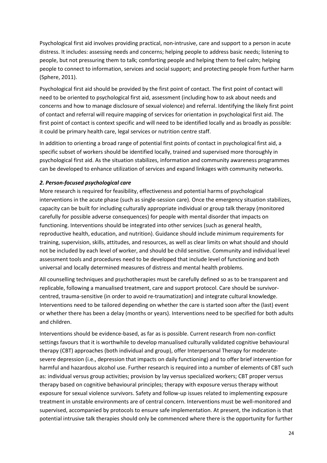Psychological first aid involves providing practical, non-intrusive, care and support to a person in acute distress. It includes: assessing needs and concerns; helping people to address basic needs; listening to people, but not pressuring them to talk; comforting people and helping them to feel calm; helping people to connect to information, services and social support; and protecting people from further harm (Sphere, 2011).

Psychological first aid should be provided by the first point of contact. The first point of contact will need to be oriented to psychological first aid, assessment (including how to ask about needs and concerns and how to manage disclosure of sexual violence) and referral. Identifying the likely first point of contact and referral will require mapping of services for orientation in psychological first aid. The first point of contact is context specific and will need to be identified locally and as broadly as possible: it could be primary health care, legal services or nutrition centre staff.

In addition to orienting a broad range of potential first points of contact in psychological first aid, a specific subset of workers should be identified locally, trained and supervised more thoroughly in psychological first aid. As the situation stabilizes, information and community awareness programmes can be developed to enhance utilization of services and expand linkages with community networks.

# *2. Person-focused psychological care*

More research is required for feasibility, effectiveness and potential harms of psychological interventions in the acute phase (such as single-session care). Once the emergency situation stabilizes, capacity can be built for including culturally appropriate individual or group talk therapy (monitored carefully for possible adverse consequences) for people with mental disorder that impacts on functioning. Interventions should be integrated into other services (such as general health, reproductive health, education, and nutrition). Guidance should include minimum requirements for training, supervision, skills, attitudes, and resources, as well as clear limits on what should and should not be included by each level of worker, and should be child sensitive. Community and individual level assessment tools and procedures need to be developed that include level of functioning and both universal and locally determined measures of distress and mental health problems.

All counselling techniques and psychotherapies must be carefully defined so as to be transparent and replicable, following a manualised treatment, care and support protocol. Care should be survivorcentred, trauma-sensitive (in order to avoid re-traumatization) and integrate cultural knowledge. Interventions need to be tailored depending on whether the care is started soon after the (last) event or whether there has been a delay (months or years). Interventions need to be specified for both adults and children.

Interventions should be evidence-based, as far as is possible. Current research from non-conflict settings favours that it is worthwhile to develop manualised culturally validated cognitive behavioural therapy (CBT) approaches (both individual and group), offer Interpersonal Therapy for moderatesevere depression (i.e., depression that impacts on daily functioning) and to offer brief intervention for harmful and hazardous alcohol use. Further research is required into a number of elements of CBT such as: individual versus group activities; provision by lay versus specialized workers; CBT proper versus therapy based on cognitive behavioural principles; therapy with exposure versus therapy without exposure for sexual violence survivors. Safety and follow-up issues related to implementing exposure treatment in unstable environments are of central concern. Interventions must be well-monitored and supervised, accompanied by protocols to ensure safe implementation. At present, the indication is that potential intrusive talk therapies should only be commenced where there is the opportunity for further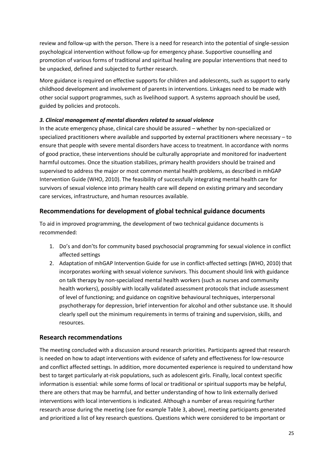review and follow-up with the person. There is a need for research into the potential of single-session psychological intervention without follow-up for emergency phase. Supportive counselling and promotion of various forms of traditional and spiritual healing are popular interventions that need to be unpacked, defined and subjected to further research.

More guidance is required on effective supports for children and adolescents, such as support to early childhood development and involvement of parents in interventions. Linkages need to be made with other social support programmes, such as livelihood support. A systems approach should be used, guided by policies and protocols.

# *3. Clinical management of mental disorders related to sexual violence*

In the acute emergency phase, clinical care should be assured – whether by non-specialized or specialized practitioners where available and supported by external practitioners where necessary – to ensure that people with severe mental disorders have access to treatment. In accordance with norms of good practice, these interventions should be culturally appropriate and monitored for inadvertent harmful outcomes. Once the situation stabilizes, primary health providers should be trained and supervised to address the major or most common mental health problems, as described in mhGAP Intervention Guide (WHO, 2010). The feasibility of successfully integrating mental health care for survivors of sexual violence into primary health care will depend on existing primary and secondary care services, infrastructure, and human resources available.

# <span id="page-24-0"></span>**Recommendations for development of global technical guidance documents**

To aid in improved programming, the development of two technical guidance documents is recommended:

- 1. Do's and don'ts for community based psychosocial programming for sexual violence in conflict affected settings
- 2. Adaptation of mhGAP Intervention Guide for use in conflict-affected settings (WHO, 2010) that incorporates working with sexual violence survivors. This document should link with guidance on talk therapy by non-specialized mental health workers (such as nurses and community health workers), possibly with locally validated assessment protocols that include assessment of level of functioning; and guidance on cognitive behavioural techniques, interpersonal psychotherapy for depression, brief intervention for alcohol and other substance use. It should clearly spell out the minimum requirements in terms of training and supervision, skills, and resources.

# <span id="page-24-1"></span>**Research recommendations**

The meeting concluded with a discussion around research priorities. Participants agreed that research is needed on how to adapt interventions with evidence of safety and effectiveness for low-resource and conflict affected settings. In addition, more documented experience is required to understand how best to target particularly at-risk populations, such as adolescent girls. Finally, local context specific information is essential: while some forms of local or traditional or spiritual supports may be helpful, there are others that may be harmful, and better understanding of how to link externally derived interventions with local interventions is indicated. Although a number of areas requiring further research arose during the meeting (see for example Table 3, above), meeting participants generated and prioritized a list of key research questions. Questions which were considered to be important or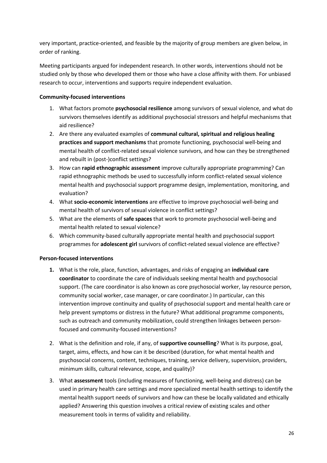very important, practice-oriented, and feasible by the majority of group members are given below, in order of ranking.

Meeting participants argued for independent research. In other words, interventions should not be studied only by those who developed them or those who have a close affinity with them. For unbiased research to occur, interventions and supports require independent evaluation.

# **Community-focused interventions**

- 1. What factors promote **psychosocial resilience** among survivors of sexual violence, and what do survivors themselves identify as additional psychosocial stressors and helpful mechanisms that aid resilience?
- 2. Are there any evaluated examples of **communal cultural, spiritual and religious healing practices and support mechanisms** that promote functioning, psychosocial well-being and mental health of conflict-related sexual violence survivors, and how can they be strengthened and rebuilt in (post-)conflict settings?
- 3. How can **rapid ethnographic assessment** improve culturally appropriate programming? Can rapid ethnographic methods be used to successfully inform conflict-related sexual violence mental health and psychosocial support programme design, implementation, monitoring, and evaluation?
- 4. What **socio-economic interventions** are effective to improve psychosocial well-being and mental health of survivors of sexual violence in conflict settings?
- 5. What are the elements of **safe spaces** that work to promote psychosocial well-being and mental health related to sexual violence?
- 6. Which community-based culturally appropriate mental health and psychosocial support programmes for **adolescent girl** survivors of conflict-related sexual violence are effective?

## **Person-focused interventions**

- **1.** What is the role, place, function, advantages, and risks of engaging an **individual care coordinator** to coordinate the care of individuals seeking mental health and psychosocial support. (The care coordinator is also known as core psychosocial worker, lay resource person, community social worker, case manager, or care coordinator.) In particular, can this intervention improve continuity and quality of psychosocial support and mental health care or help prevent symptoms or distress in the future? What additional programme components, such as outreach and community mobilization, could strengthen linkages between personfocused and community-focused interventions?
- 2. What is the definition and role, if any, of **supportive counselling**? What is its purpose, goal, target, aims, effects, and how can it be described (duration, for what mental health and psychosocial concerns, content, techniques, training, service delivery, supervision, providers, minimum skills, cultural relevance, scope, and quality)?
- 3. What **assessment** tools (including measures of functioning, well-being and distress) can be used in primary health care settings and more specialized mental health settings to identify the mental health support needs of survivors and how can these be locally validated and ethically applied? Answering this question involves a critical review of existing scales and other measurement tools in terms of validity and reliability.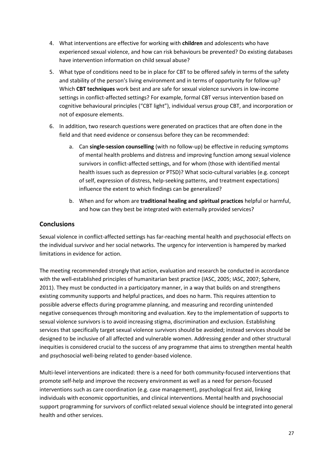- 4. What interventions are effective for working with **children** and adolescents who have experienced sexual violence, and how can risk behaviours be prevented? Do existing databases have intervention information on child sexual abuse?
- 5. What type of conditions need to be in place for CBT to be offered safely in terms of the safety and stability of the person's living environment and in terms of opportunity for follow-up? Which **CBT techniques** work best and are safe for sexual violence survivors in low-income settings in conflict-affected settings? For example, formal CBT versus intervention based on cognitive behavioural principles ("CBT light"), individual versus group CBT, and incorporation or not of exposure elements.
- 6. In addition, two research questions were generated on practices that are often done in the field and that need evidence or consensus before they can be recommended:
	- a. Can **single-session counselling** (with no follow-up) be effective in reducing symptoms of mental health problems and distress and improving function among sexual violence survivors in conflict-affected settings, and for whom (those with identified mental health issues such as depression or PTSD)? What socio-cultural variables (e.g. concept of self, expression of distress, help-seeking patterns, and treatment expectations) influence the extent to which findings can be generalized?
	- b. When and for whom are **traditional healing and spiritual practices** helpful or harmful, and how can they best be integrated with externally provided services?

# <span id="page-26-0"></span>**Conclusions**

Sexual violence in conflict-affected settings has far-reaching mental health and psychosocial effects on the individual survivor and her social networks. The urgency for intervention is hampered by marked limitations in evidence for action.

The meeting recommended strongly that action, evaluation and research be conducted in accordance with the well-established principles of humanitarian best practice (IASC, 2005; IASC, 2007; Sphere, 2011). They must be conducted in a participatory manner, in a way that builds on and strengthens existing community supports and helpful practices, and does no harm. This requires attention to possible adverse effects during programme planning, and measuring and recording unintended negative consequences through monitoring and evaluation. Key to the implementation of supports to sexual violence survivors is to avoid increasing stigma, discrimination and exclusion. Establishing services that specifically target sexual violence survivors should be avoided; instead services should be designed to be inclusive of all affected and vulnerable women. Addressing gender and other structural inequities is considered crucial to the success of any programme that aims to strengthen mental health and psychosocial well-being related to gender-based violence.

Multi-level interventions are indicated: there is a need for both community-focused interventions that promote self-help and improve the recovery environment as well as a need for person-focused interventions such as care coordination (e.g. case management), psychological first aid, linking individuals with economic opportunities, and clinical interventions. Mental health and psychosocial support programming for survivors of conflict-related sexual violence should be integrated into general health and other services.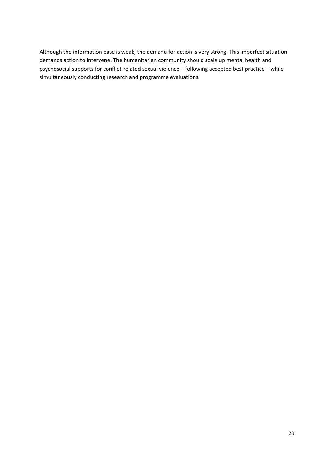Although the information base is weak, the demand for action is very strong. This imperfect situation demands action to intervene. The humanitarian community should scale up mental health and psychosocial supports for conflict-related sexual violence – following accepted best practice – while simultaneously conducting research and programme evaluations.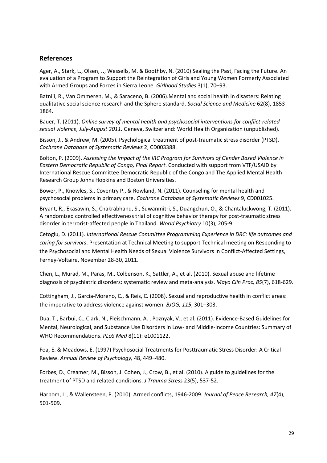# <span id="page-28-0"></span>**References**

Ager, A., Stark, L., Olsen, J., Wessells, M. & Boothby, N. (2010) Sealing the Past, Facing the Future. An evaluation of a Program to Support the Reintegration of Girls and Young Women Formerly Associated with Armed Groups and Forces in Sierra Leone. *Girlhood Studies* 3(1), 70–93.

Batniji, R., Van Ommeren, M., & Saraceno, B. (2006).Mental and social health in disasters: Relating qualitative social science research and the Sphere standard. *Social Science and Medicine* 62(8), 1853- 1864.

Bauer, T. (2011). *Online survey of mental health and psychosocial interventions for conflict-related sexual violence, July-August 2011.* Geneva, Switzerland: World Health Organization (unpublished).

Bisson, J., & Andrew, M. (2005). Psychological treatment of post-traumatic stress disorder (PTSD). *Cochrane Database of Systematic Reviews* 2, CD003388.

Bolton, P. (2009). *Assessing the Impact of the IRC Program for Survivors of Gender Based Violence in Eastern Democratic Republic of Congo, Final Report*. Conducted with support from VTF/USAID by International Rescue Committee Democratic Republic of the Congo and The Applied Mental Health Research Group Johns Hopkins and Boston Universities.

<span id="page-28-1"></span>Bower, P., Knowles, S., Coventry P., & Rowland, N. (2011). Counseling for mental health and psychosocial problems in primary care. *Cochrane Database of Systematic Reviews* 9, CD001025.

Bryant, R., Ekasawin, S., Chakrabhand, S., Suwanmitri, S., Duangchun, O., & Chantaluckwong, T. (2011). [A randomized controlled effectiveness trial of cognitive behavior therapy for post-traumatic](http://www.ncbi.nlm.nih.gov/pubmed/21991280) stress [disorder in terrorist-affected people in Thailand.](http://www.ncbi.nlm.nih.gov/pubmed/21991280) *World Psychiatry* 10(3), 205-9.

Cetoglu, D. (2011). *International Rescue Committee Programming Experience in DRC: life outcomes and caring for survivors*. Presentation at Technical Meeting to support Technical meeting on Responding to the Psychosocial and Mental Health Needs of Sexual Violence Survivors in Conflict-Affected Settings, Ferney-Voltaire, November 28-30, 2011.

Chen, L., Murad, M., Paras, M., Colbenson, K., Sattler, A., et al. (2010). Sexual abuse and lifetime diagnosis of psychiatric disorders: systematic review and meta-analysis. *Mayo Clin Proc, 85*(7), 618-629.

Cottingham, J., García-Moreno, C., & Reis, C. (2008). Sexual and reproductive health in conflict areas: the imperative to address violence against women. *BJOG, 115*, 301–303.

Dua, T., Barbui, C., Clark, N., Fleischmann, A. , Poznyak, V., et al. (2011). Evidence-Based Guidelines for Mental, Neurological, and Substance Use Disorders in Low- and Middle-Income Countries: Summary of WHO Recommendations. *PLoS Med* 8(11): e1001122.

Foa, E. & Meadows, E. (1997) Psychosocial Treatments for Posttraumatic Stress Disorder: A Critical Review. *Annual Review of Psychology,* 48, 449−480.

Forbes, D., Creamer, M., Bisson, J. Cohen, J., Crow, B., et al. (2010). A [guide to guidelines for the](http://www.ncbi.nlm.nih.gov/pubmed/20839310)  treatment of PTSD [and related conditions.](http://www.ncbi.nlm.nih.gov/pubmed/20839310) *J Trauma Stress* 23(5), 537-52.

Harbom, L., & Wallensteen, P. (2010). Armed conflicts, 1946-2009. *Journal of Peace Research, 47*(4), 501-509.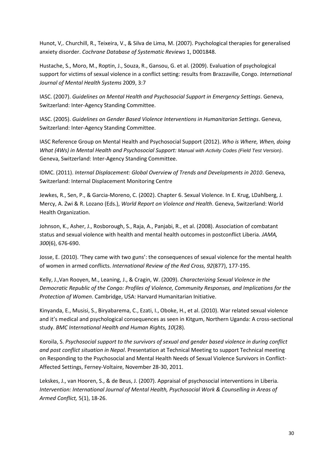Hunot, V,. Churchill, R., Teixeira, V., & Silva de Lima, M. (2007). Psychological therapies for generalised anxiety disorder. *Cochrane Database of Systematic Reviews* 1, D001848.

Hustache, S., Moro, M., Roptin, J., Souza, R., Gansou, G. et al. (2009). Evaluation of psychological support for victims of sexual violence in a conflict setting: results from Brazzaville, Congo. *International Journal of Mental Health Systems* 2009, 3:7

IASC. (2007). *Guidelines on Mental Health and Psychosocial Support in Emergency Settings*. Geneva, Switzerland: Inter-Agency Standing Committee.

IASC. (2005). *Guidelines on Gender Based Violence Interventions in Humanitarian Settings*. Geneva, Switzerland: Inter-Agency Standing Committee.

IASC Reference Group on Mental Health and Psychosocial Support (2012). *Who is Where, When, doing What (4Ws) in Mental Health and Psychosocial Support: Manual with Activity Codes (Field Test Version)*. Geneva, Switzerland: Inter-Agency Standing Committee.

IDMC. (2011). *Internal Displacement: Global Overview of Trends and Developments in 2010*. Geneva, Switzerland: Internal Displacement Monitoring Centre

Jewkes, R., Sen, P., & Garcia-Moreno, C. (2002). Chapter 6. Sexual Violence. In E. Krug, LDahlberg, J. Mercy, A. Zwi & R. Lozano (Eds.), *World Report on Violence and Health*. Geneva, Switzerland: World Health Organization.

<span id="page-29-0"></span>Johnson, K., Asher, J., Rosborough, S., Raja, A., Panjabi, R., et al. (2008). Association of combatant status and sexual violence with health and mental health outcomes in postconflict Liberia. *JAMA, 300*(6), 676-690.

Josse, E. (2010). 'They came with two guns': the consequences of sexual violence for the mental health of women in armed conflicts. *International Review of the Red Cross, 92*(877), 177-195.

<span id="page-29-1"></span>Kelly, J.,Van Rooyen, M., Leaning, J., & Cragin, W. (2009). *Characterizing Sexual Violence in the Democratic Republic of the Congo: Profiles of Violence, Community Responses, and Implications for the Protection of Women*. Cambridge, USA: Harvard Humanitarian Initiative.

Kinyanda, E., Musisi, S., Biryabarema, C., Ezati, I., Oboke, H., et al. (2010). War related sexual violence and it's medical and psychological consequences as seen in Kitgum, Northern Uganda: A cross-sectional study. *BMC International Health and Human Rights, 10*(28).

Koroila, S. *Psychosocial support to the survivors of sexual and gender based violence in during conflict and post conflict situation in Nepal*. Presentation at Technical Meeting to support Technical meeting on Responding to the Psychosocial and Mental Health Needs of Sexual Violence Survivors in Conflict-Affected Settings, Ferney-Voltaire, November 28-30, 2011.

Lekskes, J., van Hooren, S., & de Beus, J. (2007). Appraisal of psychosocial interventions in Liberia. *Intervention: International Journal of Mental Health, Psychosocial Work & Counselling in Areas of Armed Conflict,* 5(1), 18-26.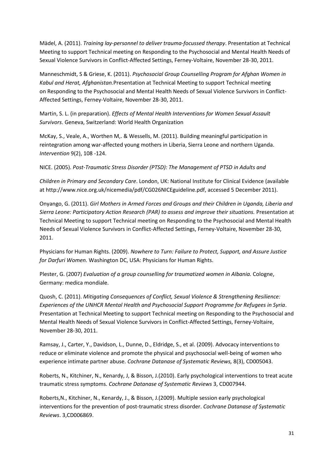Mädel, A. (2011). *Training lay-personnel to deliver trauma-focussed therapy*. Presentation at Technical Meeting to support Technical meeting on Responding to the Psychosocial and Mental Health Needs of Sexual Violence Survivors in Conflict-Affected Settings, Ferney-Voltaire, November 28-30, 2011.

Manneschmidt, S & Griese, K. (2011). *Psychosocial Group Counselling Program for Afghan Women in Kabul and Herat, Afghanistan.*Presentation at Technical Meeting to support Technical meeting on Responding to the Psychosocial and Mental Health Needs of Sexual Violence Survivors in Conflict-Affected Settings, Ferney-Voltaire, November 28-30, 2011.

Martin, S. L. (in preparation). *Effects of Mental Health Interventions for Women Sexual Assault Survivors*. Geneva, Switzerland: World Health Organization

McKay, S., Veale, A., Worthen M,. & Wessells, M. (2011). Building meaningful participation in reintegration among war-affected young mothers in Liberia, Sierra Leone and northern Uganda. *Intervention* 9(2), 108 -124.

NICE. (2005). *Post-Traumatic Stress Disorder (PTSD): The Management of PTSD in Adults and*

*Children in Primary and Secondary Care*. London, UK: National Institute for Clinical Evidence (available a[t http://www.nice.org.uk/nicemedia/pdf/CG026NICEguideline.pdf, accessed 5 December 2011\)](http://www.nice.org.uk/nicemedia/pdf/CG026NICEguideline.pdf,%20accessed%205%20December%202011).

Onyango, G. (2011). *Girl Mothers in Armed Forces and Groups and their Children in Uganda, Liberia and Sierra Leone: Participatory Action Research (PAR) to assess and improve their situations.* Presentation at Technical Meeting to support Technical meeting on Responding to the Psychosocial and Mental Health Needs of Sexual Violence Survivors in Conflict-Affected Settings, Ferney-Voltaire, November 28-30, 2011.

Physicians for Human Rights. (2009). *Nowhere to Turn: Failure to Protect, Support, and Assure Justice for Darfuri Women.* Washington DC, USA: Physicians for Human Rights.

Plester, G. (2007) *Evaluation of a group counselling for traumatized women in Albania.* Cologne, Germany: medica mondiale.

Quosh, C. (2011). *Mitigating Consequences of Conflict, Sexual Violence & Strengthening Resilience: Experiences of the UNHCR Mental Health and Psychosocial Support Programme for Refugees in Syria*. Presentation at Technical Meeting to support Technical meeting on Responding to the Psychosocial and Mental Health Needs of Sexual Violence Survivors in Conflict-Affected Settings, Ferney-Voltaire, November 28-30, 2011.

Ramsay, J., Carter, Y., Davidson, L., Dunne, D., Eldridge, S., et al. (2009). Advocacy interventions to reduce or eliminate violence and promote the physical and psychosocial well-being of women who experience intimate partner abuse. *Cochrane Datanase of Systematic Reviews,* 8(3), CD005043.

Roberts, N., Kitchiner, N., Kenardy, J, & Bisson, J.(2010). Early psychological interventions to treat acute traumatic stress symptoms. *Cochrane Datanase of Systematic Reviews* 3, CD007944.

Roberts,N., Kitchiner, N., Kenardy, J., & Bisson, J.(2009). [Multiple session early psychological](http://www.ncbi.nlm.nih.gov/pubmed/19588408)  [interventions for the prevention of post-traumatic stress disorder.](http://www.ncbi.nlm.nih.gov/pubmed/19588408) *Cochrane Datanase of Systematic Reviews*. 3,CD006869.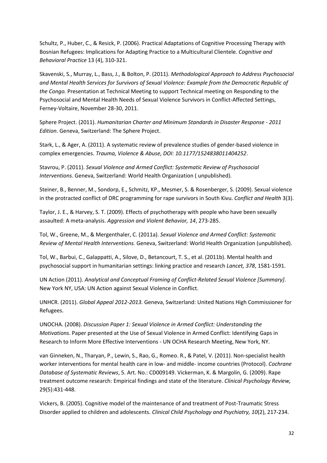Schultz, P., Huber, C., & Resick, P. (2006). Practical Adaptations of Cognitive Processing Therapy with Bosnian Refugees: Implications for Adapting Practice to a Multicultural Clientele. *Cognitive and Behavioral Practice* 13 (4), 310-321.

<span id="page-31-1"></span>Skavenski, S., Murray, L., Bass, J., & Bolton, P. (2011). *Methodological Approach to Address Psychosocial and Mental Health Services for Survivors of Sexual Violence: Example from the Democratic Republic of the Congo.* Presentation at Technical Meeting to support Technical meeting on Responding to the Psychosocial and Mental Health Needs of Sexual Violence Survivors in Conflict-Affected Settings, Ferney-Voltaire, November 28-30, 2011.

Sphere Project. (2011). *Humanitarian Charter and Minimum Standards in Disaster Response - 2011 Edition*. Geneva, Switzerland: The Sphere Project.

Stark, L., & Ager, A. (2011). A systematic review of prevalence studies of gender-based violence in complex emergencies. *Trauma, Violence & Abuse, DOI: 10.1177/1524838011404252*.

<span id="page-31-2"></span>Stavrou, P. (2011). *Sexual Violence and Armed Conflict: Systematic Review of Psychosocial Interventions*. Geneva, Switzerland: World Health Organization ( unpublished).

Steiner, B., Benner, M., Sondorp, E., Schmitz, KP., Mesmer, S. & Rosenberger, S. (2009). Sexual violence in the protracted conflict of DRC programming for rape survivors in South Kivu. *Conflict and Health* 3(3).

Taylor, J. E., & Harvey, S. T. (2009). Effects of psychotherapy with people who have been sexually assaulted: A meta-analysis. *Aggression and Violent Behavior, 14*, 273-285.

Tol, W., Greene, M., & Mergenthaler, C. (2011a). *Sexual Violence and Armed Conflict: Systematic Review of Mental Health Interventions.* Geneva, Switzerland: World Health Organization (unpublished).

Tol, W., Barbui, C., Galappatti, A., Silove, D., Betancourt, T. S., et al. (2011b). Mental health and psychosocial support in humanitarian settings: linking practice and research *Lancet, 378*, 1581-1591.

UN Action (2011). *Analytical and Conceptual Framing of Conflict-Related Sexual Violence [Summary]*. New York NY, USA: UN Action against Sexual Violence in Conflict.

UNHCR. (2011). *Global Appeal 2012-2013.* Geneva, Switzerland: United Nations High Commissioner for Refugees.

<span id="page-31-0"></span>UNOCHA. (2008). *Discussion Paper 1: Sexual Violence in Armed Conflict: Understanding the Motivations*. Paper presented at the Use of Sexual Violence in Armed Conflict: Identifying Gaps in Research to Inform More Effective Interventions - UN OCHA Research Meeting, New York, NY.

van Ginneken, N., Tharyan, P., Lewin, S., Rao, G., Romeo. R., & Patel, V. (2011). Non-specialist health worker interventions for mental health care in low- and middle- income countries (Protocol). *Cochrane Database of Systematic Reviews*, 5. Art. No.: CD009149. Vickerman, K. & Margolin, G. (2009). Rape treatment outcome research: Empirical findings and state of the literature. *Clinical Psychology Review,*  29(5):431-448.

Vickers, B. (2005). Cognitive model of the maintenance of and treatment of Post-Traumatic Stress Disorder applied to children and adolescents. *Clinical Child Psychology and Psychiatry, 10*(2), 217-234.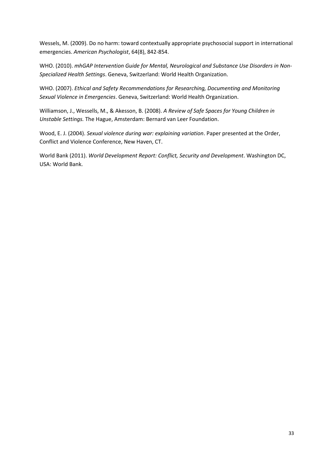Wessels, M. (2009). Do no harm: toward contextually appropriate psychosocial support in international emergencies. *American Psychologist*, 64(8), 842-854.

WHO. (2010). *mhGAP Intervention Guide for Mental, Neurological and Substance Use Disorders in Non-Specialized Health Settings*. Geneva, Switzerland: World Health Organization.

WHO. (2007). *Ethical and Safety Recommendations for Researching, Documenting and Monitoring Sexual Violence in Emergencies*. Geneva, Switzerland: World Health Organization.

Williamson, J., Wessells, M., & Akesson, B. (2008). *A Review of Safe Spaces for Young Children in Unstable Settings.* The Hague, Amsterdam: Bernard van Leer Foundation.

Wood, E. J. (2004). *Sexual violence during war: explaining variation*. Paper presented at the Order, Conflict and Violence Conference, New Haven, CT.

World Bank (2011). *World Development Report: Conflict, Security and Development*. Washington DC, USA: World Bank.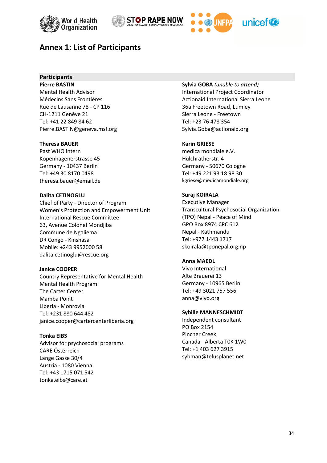





# <span id="page-33-0"></span>**Annex 1: List of Participants**

# **Participants**

**Pierre BASTIN** Mental Health Advisor Médecins Sans Frontières Rue de Lausanne 78 - CP 116 CH-1211 Genève 21 Tel: +41 22 849 84 62 [Pierre.BASTIN@geneva.msf.org](mailto:Pierre.BASTIN@geneva.msf.org)

## **Theresa BAUER**

Past WHO intern Kopenhagenerstrasse 45 Germany - 10437 Berlin Tel: +49 30 8170 0498 [theresa.bauer@email.de](mailto:theresa.bauer@email.de)

#### **Dalita CETINOGLU**

Chief of Party - Director of Program Women's Protection and Empowerment Unit International Rescue Committee 63, Avenue Colonel Mondjiba Commune de Ngaliema DR Congo - Kinshasa Mobile: +243 9952000 58 [dalita.cetinoglu@rescue.org](mailto:patrick.maheshe@theIRC.org)

#### **Janice COOPER**

Country Representative for Mental Health Mental Health Program The Carter Center Mamba Point Liberia - Monrovia Tel: +231 880 644 482 [janice.cooper@cartercenterliberia.org](mailto:janice.cooper@cartercenterliberia.org)

#### **Tonka EIBS**

Advisor for psychosocial programs CARE Österreich Lange Gasse 30/4 Austria - 1080 Vienna Tel: +43 1715 071 542 [tonka.eibs@care.at](mailto:tonka.eibs@care.at)

**Sylvia GOBA** *(unable to attend)* International Project Coordinator Actionaid International Sierra Leone 36a Freetown Road, Lumley Sierra Leone - Freetown Tel: +23 76 478 354 [Sylvia.Goba@actionaid.org](mailto:Sylvia.Goba@actionaid.org)

#### **Karin GRIESE**

medica mondiale e.V. Hülchratherstr. 4 Germany - 50670 Cologne Tel: +49 221 93 18 98 30 [kgriese@medicamondiale.org](mailto:kgriese@medicamondiale.org)

#### **Suraj KOIRALA**

Executive Manager Transcultural Psychosocial Organization (TPO) Nepal - Peace of Mind GPO Box 8974 CPC 612 Nepal - Kathmandu Tel: +977 1443 1717 [skoirala@tponepal.org.np](mailto:skoirala@tponepal.org.np)

## **Anna MAEDL**

Vivo International Alte Brauerei 13 Germany - 10965 Berlin Tel: +49 3021 757 556 [anna@vivo.org](mailto:anna@vivo.org)

#### **Sybille MANNESCHMIDT**

Independent consultant PO Box 2154 Pincher Creek Canada - Alberta T0K 1W0 Tel: +1 403 [627 3915](tel:403-627-3915) [sybman@telusplanet.net](mailto:sybman@telusplanet.net)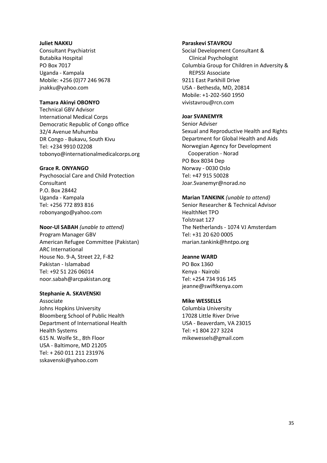#### **Juliet NAKKU**

Consultant Psychiatrist Butabika Hospital PO Box 7017 Uganda - Kampala Mobile: +256 (0)77 246 9678 [jnakku@yahoo.com](mailto:jnakku@yahoo.com)

#### **Tamara Akinyi OBONYO**

Technical GBV Advisor International Medical Corps Democratic Republic of Congo office 32/4 Avenue Muhumba DR Congo - Bukavu, South Kivu Tel: +234 9910 02208 [tobonyo@internationalmedicalcorps.org](mailto:tobonyo@internationalmedicalcorps.org)

#### **Grace R. ONYANGO**

Psychosocial Care and Child Protection Consultant P.O. Box 28442 Uganda - Kampala Tel: [+256 772 893 816](tel:%28%2B256%29772-893816) [robonyango@yahoo.com](mailto:robonyango@yahoo.com)

#### **Noor-Ul SABAH** *(unable to attend)*

Program Manager GBV American Refugee Committee (Pakistan) ARC International House No. 9-A, Street 22, F-82 Pakistan - Islamabad Tel: +92 51 226 06014 [noor.sabah@arcpakistan.org](mailto:noor.sabah@arcpakistan.org)

#### **Stephanie A. SKAVENSKI**

Associate Johns Hopkins University Bloomberg School of Public Health Department of International Health Health Systems 615 N. Wolfe St., 8th Floor USA - Baltimore, MD 21205 Tel: + 260 011 211 231976 [sskavenski@yahoo.com](mailto:sskavenski@yahoo.com)

#### **Paraskevi STAVROU**

Social Development Consultant & Clinical Psychologist Columbia Group for Children in Adversity & REPSSI Associate 9211 East Parkhill Drive USA - Bethesda, MD, 20814 Mobile: +1-202-560 1950 [vivistavrou@rcn.com](mailto:vivistavrou@rcn.com)

#### **Joar SVANEMYR**

Senior Adviser Sexual and Reproductive Health and Rights Department for Global Health and Aids Norwegian Agency for Development Cooperation - Norad PO Box 8034 Dep Norway - 0030 Oslo Tel: +47 915 50028 [Joar.Svanemyr@norad.no](mailto:Joar.Svanemyr@norad.no)

#### **Marian TANKINK** *(unable to attend)*

Senior Researcher & Technical Advisor HealthNet TPO Tolstraat 127 The Netherlands - 1074 VJ Amsterdam Tel: +31 20 620 0005 [marian.tankink@hntpo.org](mailto:marian.tankink@hntpo.org)

#### **Jeanne WARD**

PO Box 1360 Kenya - Nairobi Tel: +254 734 916 145 [jeanne@swiftkenya.com](mailto:jeanne@swiftkenya.com)

#### **Mike WESSELLS**

Columbia University 17028 Little River Drive USA - Beaverdam, VA 23015 Tel: +1 804 227 3224 [mikewessels@gmail.com](mailto:mikewessels@gmail.com)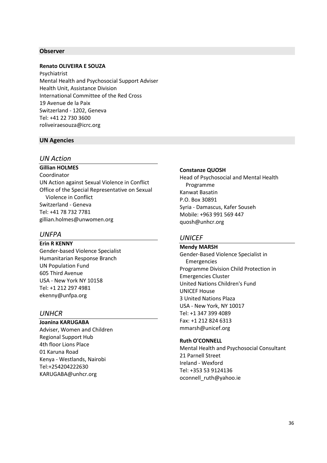#### **Observer**

#### **Renato OLIVEIRA E SOUZA**

Psychiatrist Mental Health and Psychosocial Support Adviser Health Unit, Assistance Division International Committee of the Red Cross 19 Avenue de la Paix Switzerland - 1202, Geneva Tel: +41 22 730 3600 [roliveiraesouza@icrc.org](mailto:roliveiraesouza@icrc.org)

#### **UN Agencies**

## *UN Action*

**Gillian HOLMES** Coordinator UN Action against Sexual Violence in Conflict Office of the Special Representative on Sexual Violence in Conflict Switzerland - Geneva Tel: +41 78 732 7781 [gillian.holmes@unwomen.org](mailto:gillian.holmes@unwomen.org)

#### *UNFPA*

**Erin R KENNY**  Gender-based Violence Specialist Humanitarian Response Branch UN Population Fund 605 Third Avenue USA - New York NY 10158 Tel: +1 212 297 4981 [ekenny@unfpa.org](mailto:ekenny@unfpa.org)

# *UNHCR*

**Joanina KARUGABA** Adviser, Women and Children Regional Support Hub 4th floor Lions Place 01 Karuna Road Kenya - Westlands, Nairobi Tel:+254204222630 [KARUGABA@unhcr.org](mailto:KARUGABA@unhcr.org)

#### **Constanze QUOSH**

Head of Psychosocial and Mental Health Programme Kanwat Basatin P.O. Box 30891 Syria - Damascus, Kafer Souseh Mobile: +963 991 569 447 quosh@unhcr.org

#### *UNICEF*

**Mendy MARSH** Gender-Based Violence Specialist in Emergencies Programme Division Child Protection in Emergencies Cluster United Nations Children's Fund UNICEF House 3 United Nations Plaza USA - New York, NY 10017 Tel: +1 347 399 4089 Fax: +1 212 824 6313 [mmarsh@unicef.org](mailto:mmarsh@unicef.org)

#### **Ruth O'CONNELL**

Mental Health and Psychosocial Consultant 21 Parnell Street Ireland - Wexford Tel: +353 53 9124136 [oconnell\\_ruth@yahoo.ie](mailto:oconnell_ruth@yahoo.ie)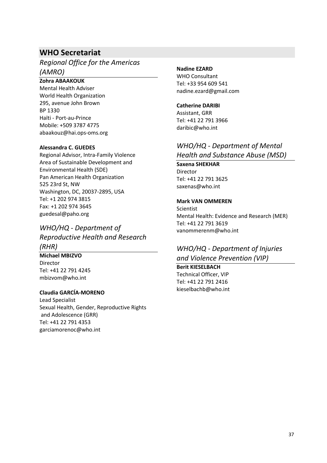# **WHO Secretariat**

*Regional Office for the Americas (AMRO)*

## **Zohra ABAAKOUK**

Mental Health Adviser World Health Organization 295, avenue John Brown BP 1330 Haïti - Port-au-Prince Mobile: [+509 3787 4775](tel:%2B509%203787%204775) [abaakouz@hai.ops-oms.org](mailto:abaakouz@hai.ops-oms.org)

#### **Alessandra C. GUEDES**

Regional Advisor, Intra-Family Violence Area of Sustainable Development and Environmental Health (SDE) Pan American Health Organization 525 23rd St, NW Washington, DC, 20037-2895, USA Tel: +1 202 974 3815 Fax: +1 202 974 3645 [guedesal@paho.org](mailto:guedesal@paho.org)

# *WHO/HQ - Department of Reproductive Health and Research (RHR)*

# **Michael MBIZVO**

Director Tel: +41 22 791 4245 [mbizvom@who.int](mailto:mbizvom@who.int)

## **Claudia GARCÍA-MORENO**

Lead Specialist Sexual Health, Gender, Reproductive Rights and Adolescence (GRR) Tel: +41 22 791 4353 [garciamorenoc@who.int](mailto:garciamorenoc@who.int)

#### **Nadine EZARD**

WHO Consultant Tel[: +33 954 609 541](tel:%2B33954609541) [nadine.ezard@gmail.com](mailto:nadine.ezard@gmail.com)

# **Catherine DARIBI**

Assistant, GRR Tel: +41 22 791 3966 [daribic@who.int](mailto:daribic@who.int)

# *WHO/HQ - Department of Mental Health and Substance Abuse (MSD)*

**Saxena SHEKHAR** Director Tel: +41 22 791 3625 [saxenas@who.int](mailto:saxenas@who.int)

## **Mark VAN OMMEREN**

**Scientist** Mental Health: Evidence and Research (MER) Tel: +41 22 791 3619 [vanommerenm@who.int](mailto:vanommerenm@who.int)

# *WHO/HQ - Department of Injuries and Violence Prevention (VIP)*

# **Berit KIESELBACH**

Technical Officer, VIP Tel: +41 22 791 2416 [kieselbachb@who.int](mailto:kieselbachb@who.int)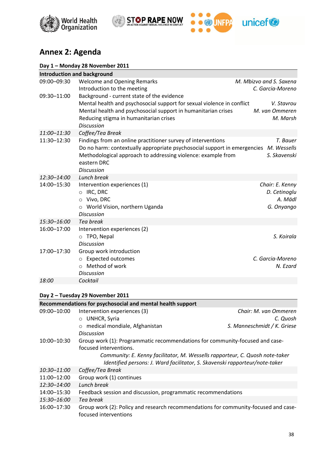





# **Annex 2: Agenda**

| <b>Introduction and background</b> |                                                                                                                                          |                         |
|------------------------------------|------------------------------------------------------------------------------------------------------------------------------------------|-------------------------|
| 09:00-09:30                        | <b>Welcome and Opening Remarks</b>                                                                                                       | M. Mbizvo and S. Saxena |
|                                    | Introduction to the meeting                                                                                                              | C. Garcia-Moreno        |
| 09:30-11:00                        | Background - current state of the evidence                                                                                               |                         |
|                                    | Mental health and psychosocial support for sexual violence in conflict                                                                   | V. Stavrou              |
|                                    | Mental health and psychosocial support in humanitarian crises                                                                            | M. van Ommeren          |
|                                    | Reducing stigma in humanitarian crises                                                                                                   | M. Marsh                |
|                                    | <b>Discussion</b>                                                                                                                        |                         |
| 11:00-11:30<br>11:30-12:30         | Coffee/Tea Break                                                                                                                         | T. Bauer                |
|                                    | Findings from an online practitioner survey of interventions<br>Do no harm: contextually appropriate psychosocial support in emergencies | M. Wessells             |
|                                    | Methodological approach to addressing violence: example from                                                                             | S. Skavenski            |
|                                    | eastern DRC                                                                                                                              |                         |
|                                    | <b>Discussion</b>                                                                                                                        |                         |
| 12:30-14:00                        | Lunch break                                                                                                                              |                         |
| 14:00-15:30                        | Intervention experiences (1)                                                                                                             | Chair: E. Kenny         |
|                                    | IRC, DRC<br>$\circ$                                                                                                                      | D. Cetinoglu            |
|                                    | Vivo, DRC<br>$\circ$                                                                                                                     | A. Mädl                 |
|                                    | World Vision, northern Uganda<br>$\circ$                                                                                                 | G. Onyango              |
|                                    | <b>Discussion</b>                                                                                                                        |                         |
| 15:30-16:00                        | Tea break                                                                                                                                |                         |
| 16:00-17:00                        | Intervention experiences (2)                                                                                                             |                         |
|                                    | o TPO, Nepal<br><b>Discussion</b>                                                                                                        | S. Koirala              |
| 17:00-17:30                        | Group work introduction                                                                                                                  |                         |
|                                    | o Expected outcomes                                                                                                                      | C. Garcia-Moreno        |
|                                    | Method of work<br>$\circ$                                                                                                                | N. Ezard                |
|                                    | <b>Discussion</b>                                                                                                                        |                         |
| 18:00                              | Cocktail                                                                                                                                 |                         |
|                                    |                                                                                                                                          |                         |

# **Day 2 – Tuesday 29 November 2011**

|                        | Recommendations for psychosocial and mental health support                                                   |                             |
|------------------------|--------------------------------------------------------------------------------------------------------------|-----------------------------|
| 09:00-10:00            | Intervention experiences (3)                                                                                 | Chair: M. van Ommeren       |
|                        | $\circ$ UNHCR, Syria                                                                                         | C. Quosh                    |
|                        | medical mondiale, Afghanistan<br>$\circ$                                                                     | S. Manneschmidt / K. Griese |
|                        | Discussion                                                                                                   |                             |
| 10:00-10:30            | Group work (1): Programmatic recommendations for community-focused and case-                                 |                             |
| focused interventions. |                                                                                                              |                             |
|                        | Community: E. Kenny facilitator, M. Wessells rapporteur, C. Quosh note-taker                                 |                             |
|                        | Identified persons: J. Ward facilitator, S. Skavenski rapporteur/note-taker                                  |                             |
| 10:30-11:00            | Coffee/Tea Break                                                                                             |                             |
| 11:00-12:00            | Group work (1) continues                                                                                     |                             |
| 12:30–14:00            | Lunch break                                                                                                  |                             |
| 14:00-15:30            | Feedback session and discussion, programmatic recommendations                                                |                             |
| 15:30-16:00            | Tea break                                                                                                    |                             |
| 16:00-17:30            | Group work (2): Policy and research recommendations for community-focused and case-<br>focused interventions |                             |